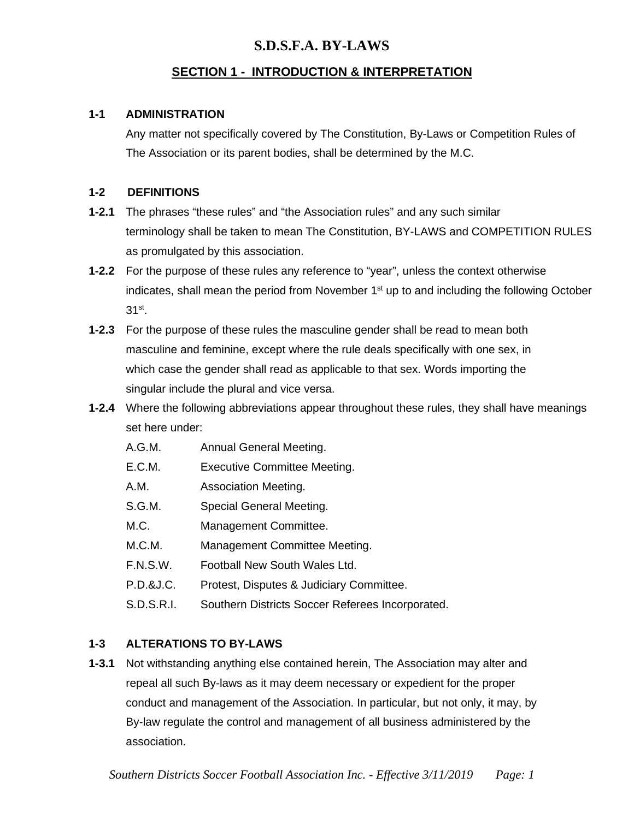### **SECTION 1 - INTRODUCTION & INTERPRETATION**

#### **1-1 ADMINISTRATION**

Any matter not specifically covered by The Constitution, By-Laws or Competition Rules of The Association or its parent bodies, shall be determined by the M.C.

#### **1-2 DEFINITIONS**

- **1-2.1** The phrases "these rules" and "the Association rules" and any such similar terminology shall be taken to mean The Constitution, BY-LAWS and COMPETITION RULES as promulgated by this association.
- **1-2.2** For the purpose of these rules any reference to "year", unless the context otherwise indicates, shall mean the period from November 1<sup>st</sup> up to and including the following October 31st.
- **1-2.3** For the purpose of these rules the masculine gender shall be read to mean both masculine and feminine, except where the rule deals specifically with one sex, in which case the gender shall read as applicable to that sex. Words importing the singular include the plural and vice versa.
- **1-2.4** Where the following abbreviations appear throughout these rules, they shall have meanings set here under:
	- A.G.M. Annual General Meeting.
	- E.C.M. Executive Committee Meeting.
	- A.M. Association Meeting.
	- S.G.M. Special General Meeting.
	- M.C. Management Committee.
	- M.C.M. Management Committee Meeting.
	- F.N.S.W. Football New South Wales Ltd.
	- P.D.&J.C. Protest, Disputes & Judiciary Committee.
	- S.D.S.R.I. Southern Districts Soccer Referees Incorporated.

### **1-3 ALTERATIONS TO BY-LAWS**

**1-3.1** Not withstanding anything else contained herein, The Association may alter and repeal all such By-laws as it may deem necessary or expedient for the proper conduct and management of the Association. In particular, but not only, it may, by By-law regulate the control and management of all business administered by the association.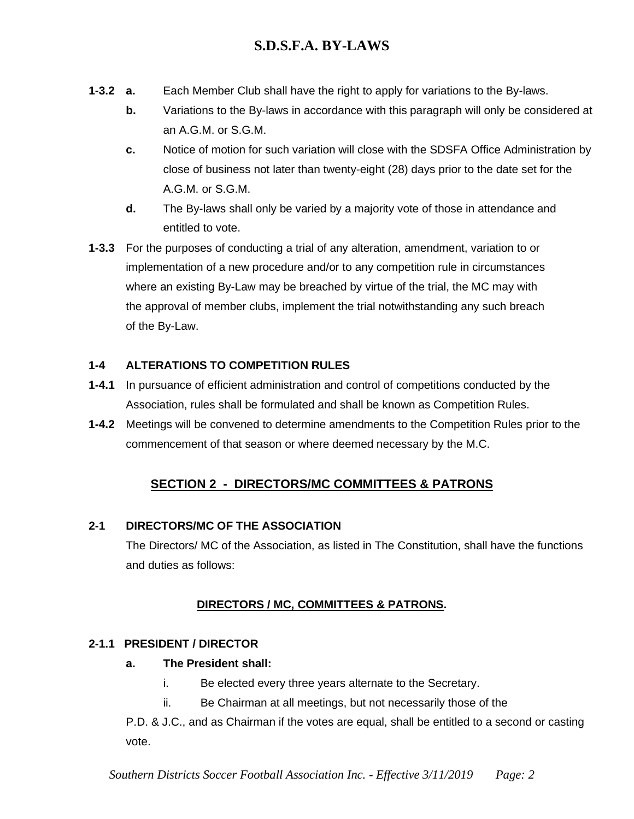- **1-3.2 a.** Each Member Club shall have the right to apply for variations to the By-laws.
	- **b.** Variations to the By-laws in accordance with this paragraph will only be considered at an A.G.M. or S.G.M.
	- **c.** Notice of motion for such variation will close with the SDSFA Office Administration by close of business not later than twenty-eight (28) days prior to the date set for the A.G.M. or S.G.M.
	- **d.** The By-laws shall only be varied by a majority vote of those in attendance and entitled to vote.
- **1-3.3** For the purposes of conducting a trial of any alteration, amendment, variation to or implementation of a new procedure and/or to any competition rule in circumstances where an existing By-Law may be breached by virtue of the trial, the MC may with the approval of member clubs, implement the trial notwithstanding any such breach of the By-Law.

# **1-4 ALTERATIONS TO COMPETITION RULES**

- **1-4.1** In pursuance of efficient administration and control of competitions conducted by the Association, rules shall be formulated and shall be known as Competition Rules.
- **1-4.2** Meetings will be convened to determine amendments to the Competition Rules prior to the commencement of that season or where deemed necessary by the M.C.

# **SECTION 2 - DIRECTORS/MC COMMITTEES & PATRONS**

# **2-1 DIRECTORS/MC OF THE ASSOCIATION**

The Directors/ MC of the Association, as listed in The Constitution, shall have the functions and duties as follows:

# **DIRECTORS / MC, COMMITTEES & PATRONS.**

# **2-1.1 PRESIDENT / DIRECTOR**

# **a. The President shall:**

- i. Be elected every three years alternate to the Secretary.
- ii. Be Chairman at all meetings, but not necessarily those of the

P.D. & J.C., and as Chairman if the votes are equal, shall be entitled to a second or casting vote.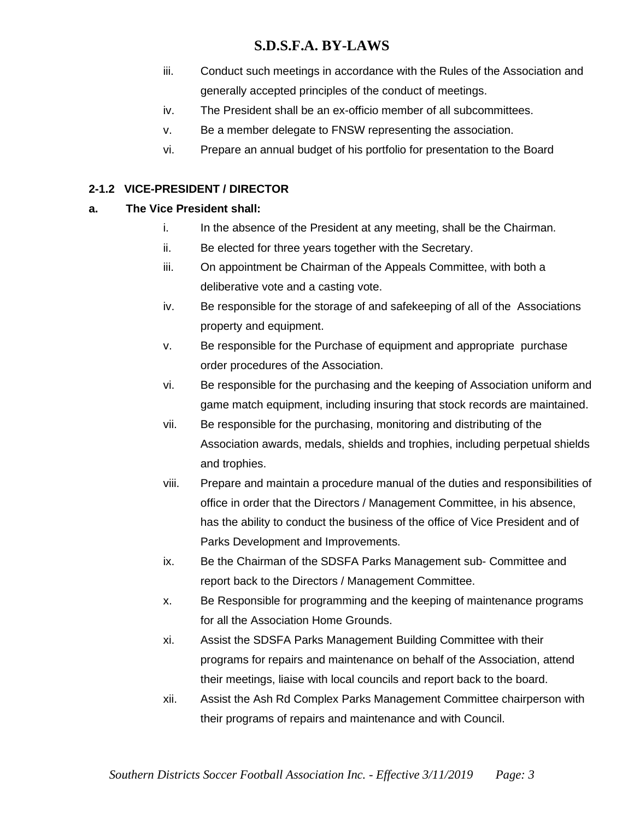- iii. Conduct such meetings in accordance with the Rules of the Association and generally accepted principles of the conduct of meetings.
- iv. The President shall be an ex-officio member of all subcommittees.
- v. Be a member delegate to FNSW representing the association.
- vi. Prepare an annual budget of his portfolio for presentation to the Board

### **2-1.2 VICE-PRESIDENT / DIRECTOR**

### **a. The Vice President shall:**

- i. In the absence of the President at any meeting, shall be the Chairman.
- ii. Be elected for three years together with the Secretary.
- iii. On appointment be Chairman of the Appeals Committee, with both a deliberative vote and a casting vote.
- iv. Be responsible for the storage of and safekeeping of all of the Associations property and equipment.
- v. Be responsible for the Purchase of equipment and appropriate purchase order procedures of the Association.
- vi. Be responsible for the purchasing and the keeping of Association uniform and game match equipment, including insuring that stock records are maintained.
- vii. Be responsible for the purchasing, monitoring and distributing of the Association awards, medals, shields and trophies, including perpetual shields and trophies.
- viii. Prepare and maintain a procedure manual of the duties and responsibilities of office in order that the Directors / Management Committee, in his absence, has the ability to conduct the business of the office of Vice President and of Parks Development and Improvements.
- ix. Be the Chairman of the SDSFA Parks Management sub- Committee and report back to the Directors / Management Committee.
- x. Be Responsible for programming and the keeping of maintenance programs for all the Association Home Grounds.
- xi. Assist the SDSFA Parks Management Building Committee with their programs for repairs and maintenance on behalf of the Association, attend their meetings, liaise with local councils and report back to the board.
- xii. Assist the Ash Rd Complex Parks Management Committee chairperson with their programs of repairs and maintenance and with Council.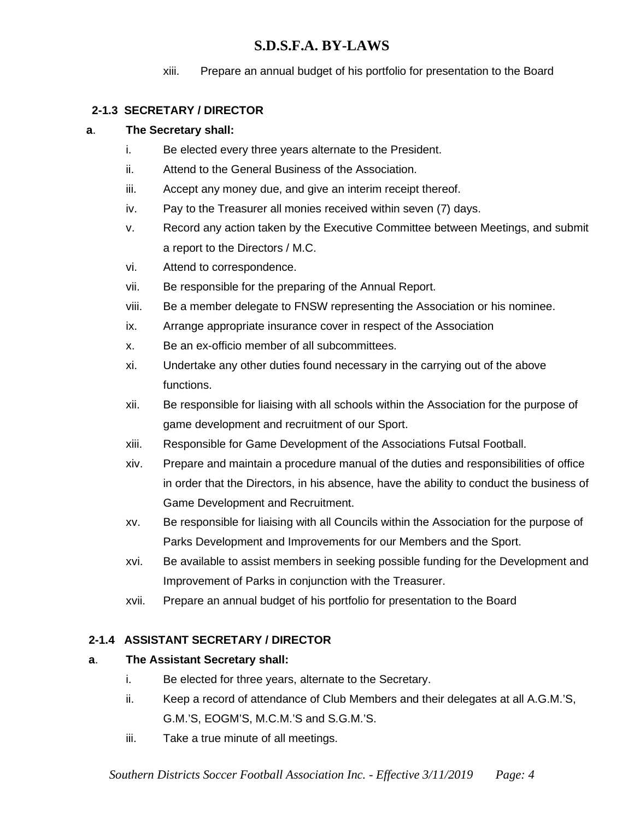xiii. Prepare an annual budget of his portfolio for presentation to the Board

### **2-1.3 SECRETARY / DIRECTOR**

### **a**. **The Secretary shall:**

- i. Be elected every three years alternate to the President.
- ii. Attend to the General Business of the Association.
- iii. Accept any money due, and give an interim receipt thereof.
- iv. Pay to the Treasurer all monies received within seven (7) days.
- v. Record any action taken by the Executive Committee between Meetings, and submit a report to the Directors / M.C.
- vi. Attend to correspondence.
- vii. Be responsible for the preparing of the Annual Report.
- viii. Be a member delegate to FNSW representing the Association or his nominee.
- ix. Arrange appropriate insurance cover in respect of the Association
- x. Be an ex-officio member of all subcommittees.
- xi. Undertake any other duties found necessary in the carrying out of the above functions.
- xii. Be responsible for liaising with all schools within the Association for the purpose of game development and recruitment of our Sport.
- xiii. Responsible for Game Development of the Associations Futsal Football.
- xiv. Prepare and maintain a procedure manual of the duties and responsibilities of office in order that the Directors, in his absence, have the ability to conduct the business of Game Development and Recruitment.
- xv. Be responsible for liaising with all Councils within the Association for the purpose of Parks Development and Improvements for our Members and the Sport.
- xvi. Be available to assist members in seeking possible funding for the Development and Improvement of Parks in conjunction with the Treasurer.
- xvii. Prepare an annual budget of his portfolio for presentation to the Board

### **2-1.4 ASSISTANT SECRETARY / DIRECTOR**

### **a**. **The Assistant Secretary shall:**

- i. Be elected for three years, alternate to the Secretary.
- ii. Keep a record of attendance of Club Members and their delegates at all A.G.M.'S, G.M.'S, EOGM'S, M.C.M.'S and S.G.M.'S.
- iii. Take a true minute of all meetings.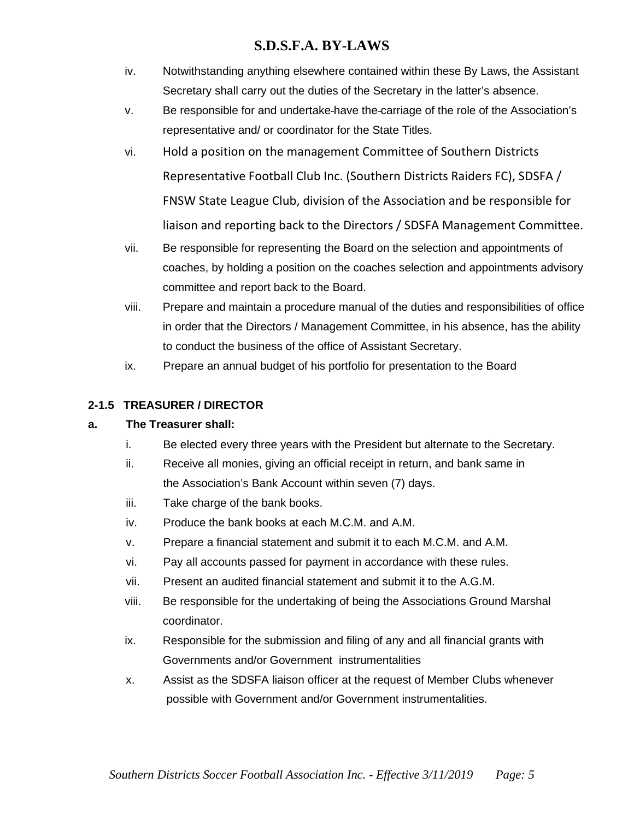- iv. Notwithstanding anything elsewhere contained within these By Laws, the Assistant Secretary shall carry out the duties of the Secretary in the latter's absence.
- v. Be responsible for and undertake have the carriage of the role of the Association's representative and/ or coordinator for the State Titles.
- vi. Hold a position on the management Committee of Southern Districts Representative Football Club Inc. (Southern Districts Raiders FC), SDSFA / FNSW State League Club, division of the Association and be responsible for liaison and reporting back to the Directors / SDSFA Management Committee.
- vii. Be responsible for representing the Board on the selection and appointments of coaches, by holding a position on the coaches selection and appointments advisory committee and report back to the Board.
- viii. Prepare and maintain a procedure manual of the duties and responsibilities of office in order that the Directors / Management Committee, in his absence, has the ability to conduct the business of the office of Assistant Secretary.
- ix. Prepare an annual budget of his portfolio for presentation to the Board

### **2-1.5 TREASURER / DIRECTOR**

### **a. The Treasurer shall:**

- i. Be elected every three years with the President but alternate to the Secretary.
- ii. Receive all monies, giving an official receipt in return, and bank same in the Association's Bank Account within seven (7) days.
- iii. Take charge of the bank books.
- iv. Produce the bank books at each M.C.M. and A.M.
- v. Prepare a financial statement and submit it to each M.C.M. and A.M.
- vi. Pay all accounts passed for payment in accordance with these rules.
- vii. Present an audited financial statement and submit it to the A.G.M.
- viii. Be responsible for the undertaking of being the Associations Ground Marshal coordinator.
- ix. Responsible for the submission and filing of any and all financial grants with Governments and/or Government instrumentalities
- x. Assist as the SDSFA liaison officer at the request of Member Clubs whenever possible with Government and/or Government instrumentalities.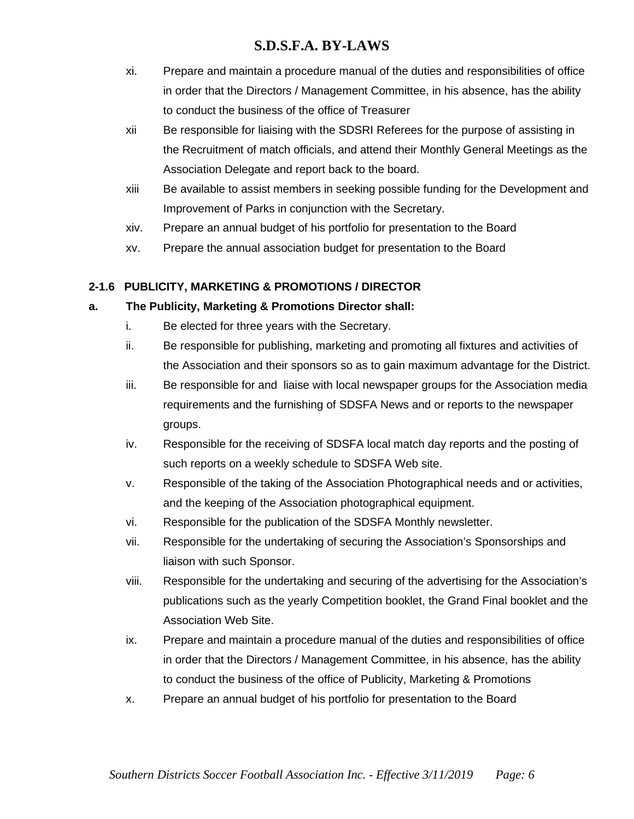- xi. Prepare and maintain a procedure manual of the duties and responsibilities of office in order that the Directors / Management Committee, in his absence, has the ability to conduct the business of the office of Treasurer
- xii Be responsible for liaising with the SDSRI Referees for the purpose of assisting in the Recruitment of match officials, and attend their Monthly General Meetings as the Association Delegate and report back to the board.
- xiii Be available to assist members in seeking possible funding for the Development and Improvement of Parks in conjunction with the Secretary.
- xiv. Prepare an annual budget of his portfolio for presentation to the Board
- xv. Prepare the annual association budget for presentation to the Board

# **2-1.6 PUBLICITY, MARKETING & PROMOTIONS / DIRECTOR**

### **a. The Publicity, Marketing & Promotions Director shall:**

- i. Be elected for three years with the Secretary.
- ii. Be responsible for publishing, marketing and promoting all fixtures and activities of the Association and their sponsors so as to gain maximum advantage for the District.
- iii. Be responsible for and liaise with local newspaper groups for the Association media requirements and the furnishing of SDSFA News and or reports to the newspaper groups.
- iv. Responsible for the receiving of SDSFA local match day reports and the posting of such reports on a weekly schedule to SDSFA Web site.
- v. Responsible of the taking of the Association Photographical needs and or activities, and the keeping of the Association photographical equipment.
- vi. Responsible for the publication of the SDSFA Monthly newsletter.
- vii. Responsible for the undertaking of securing the Association's Sponsorships and liaison with such Sponsor.
- viii. Responsible for the undertaking and securing of the advertising for the Association's publications such as the yearly Competition booklet, the Grand Final booklet and the Association Web Site.
- ix. Prepare and maintain a procedure manual of the duties and responsibilities of office in order that the Directors / Management Committee, in his absence, has the ability to conduct the business of the office of Publicity, Marketing & Promotions
- x. Prepare an annual budget of his portfolio for presentation to the Board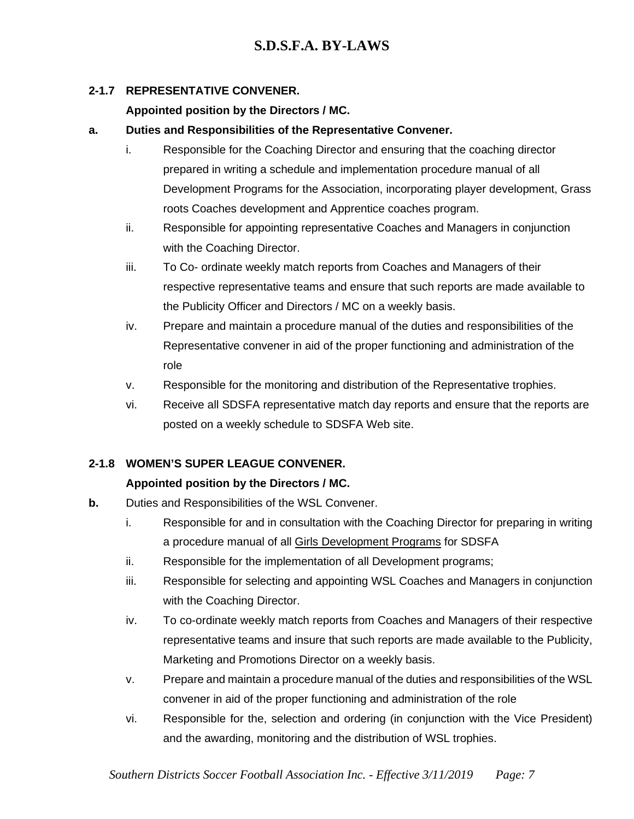# **2-1.7 REPRESENTATIVE CONVENER.**

# **Appointed position by the Directors / MC.**

# **a. Duties and Responsibilities of the Representative Convener.**

- i. Responsible for the Coaching Director and ensuring that the coaching director prepared in writing a schedule and implementation procedure manual of all Development Programs for the Association, incorporating player development, Grass roots Coaches development and Apprentice coaches program.
- ii. Responsible for appointing representative Coaches and Managers in conjunction with the Coaching Director.
- iii. To Co- ordinate weekly match reports from Coaches and Managers of their respective representative teams and ensure that such reports are made available to the Publicity Officer and Directors / MC on a weekly basis.
- iv. Prepare and maintain a procedure manual of the duties and responsibilities of the Representative convener in aid of the proper functioning and administration of the role
- v. Responsible for the monitoring and distribution of the Representative trophies.
- vi. Receive all SDSFA representative match day reports and ensure that the reports are posted on a weekly schedule to SDSFA Web site.

# **2-1.8 WOMEN'S SUPER LEAGUE CONVENER.**

# **Appointed position by the Directors / MC.**

- **b.** Duties and Responsibilities of the WSL Convener.
	- i. Responsible for and in consultation with the Coaching Director for preparing in writing a procedure manual of all Girls Development Programs for SDSFA
	- ii. Responsible for the implementation of all Development programs;
	- iii. Responsible for selecting and appointing WSL Coaches and Managers in conjunction with the Coaching Director.
	- iv. To co-ordinate weekly match reports from Coaches and Managers of their respective representative teams and insure that such reports are made available to the Publicity, Marketing and Promotions Director on a weekly basis.
	- v. Prepare and maintain a procedure manual of the duties and responsibilities of the WSL convener in aid of the proper functioning and administration of the role
	- vi. Responsible for the, selection and ordering (in conjunction with the Vice President) and the awarding, monitoring and the distribution of WSL trophies.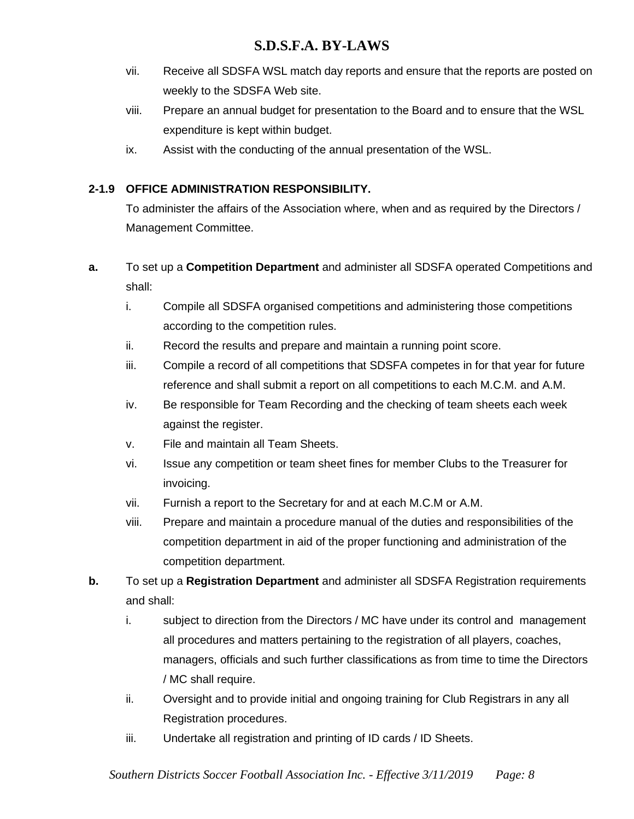- vii. Receive all SDSFA WSL match day reports and ensure that the reports are posted on weekly to the SDSFA Web site.
- viii. Prepare an annual budget for presentation to the Board and to ensure that the WSL expenditure is kept within budget.
- ix. Assist with the conducting of the annual presentation of the WSL.

# **2-1.9 OFFICE ADMINISTRATION RESPONSIBILITY.**

To administer the affairs of the Association where, when and as required by the Directors / Management Committee.

- **a.** To set up a **Competition Department** and administer all SDSFA operated Competitions and shall:
	- i. Compile all SDSFA organised competitions and administering those competitions according to the competition rules.
	- ii. Record the results and prepare and maintain a running point score.
	- iii. Compile a record of all competitions that SDSFA competes in for that year for future reference and shall submit a report on all competitions to each M.C.M. and A.M.
	- iv. Be responsible for Team Recording and the checking of team sheets each week against the register.
	- v. File and maintain all Team Sheets.
	- vi. Issue any competition or team sheet fines for member Clubs to the Treasurer for invoicing.
	- vii. Furnish a report to the Secretary for and at each M.C.M or A.M.
	- viii. Prepare and maintain a procedure manual of the duties and responsibilities of the competition department in aid of the proper functioning and administration of the competition department.
- **b.** To set up a **Registration Department** and administer all SDSFA Registration requirements and shall:
	- i. subject to direction from the Directors / MC have under its control and management all procedures and matters pertaining to the registration of all players, coaches, managers, officials and such further classifications as from time to time the Directors / MC shall require.
	- ii. Oversight and to provide initial and ongoing training for Club Registrars in any all Registration procedures.
	- iii. Undertake all registration and printing of ID cards / ID Sheets.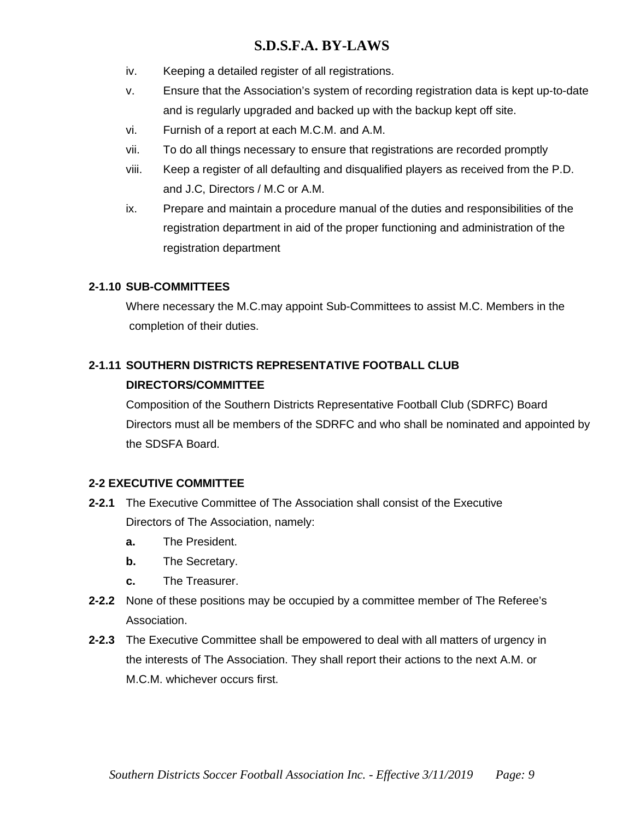- iv. Keeping a detailed register of all registrations.
- v. Ensure that the Association's system of recording registration data is kept up-to-date and is regularly upgraded and backed up with the backup kept off site.
- vi. Furnish of a report at each M.C.M. and A.M.
- vii. To do all things necessary to ensure that registrations are recorded promptly
- viii. Keep a register of all defaulting and disqualified players as received from the P.D. and J.C, Directors / M.C or A.M.
- ix. Prepare and maintain a procedure manual of the duties and responsibilities of the registration department in aid of the proper functioning and administration of the registration department

### **2-1.10 SUB-COMMITTEES**

Where necessary the M.C.may appoint Sub-Committees to assist M.C. Members in the completion of their duties.

# **2-1.11 SOUTHERN DISTRICTS REPRESENTATIVE FOOTBALL CLUB**

# **DIRECTORS/COMMITTEE**

Composition of the Southern Districts Representative Football Club (SDRFC) Board Directors must all be members of the SDRFC and who shall be nominated and appointed by the SDSFA Board.

# **2-2 EXECUTIVE COMMITTEE**

- **2-2.1** The Executive Committee of The Association shall consist of the Executive Directors of The Association, namely:
	- **a.** The President.
	- **b.** The Secretary.
	- **c.** The Treasurer.
- **2-2.2** None of these positions may be occupied by a committee member of The Referee's Association.
- **2-2.3** The Executive Committee shall be empowered to deal with all matters of urgency in the interests of The Association. They shall report their actions to the next A.M. or M.C.M. whichever occurs first.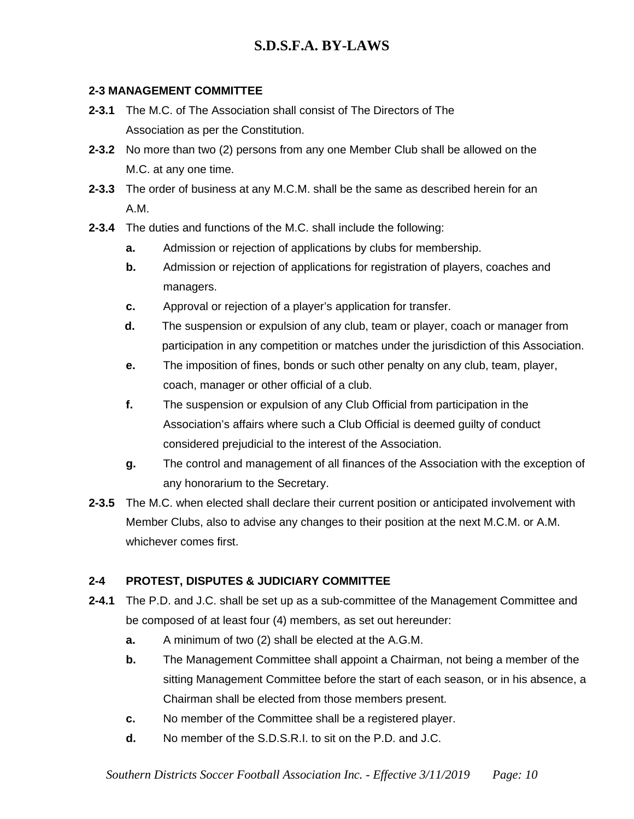### **2-3 MANAGEMENT COMMITTEE**

- **2-3.1** The M.C. of The Association shall consist of The Directors of The Association as per the Constitution.
- **2-3.2** No more than two (2) persons from any one Member Club shall be allowed on the M.C. at any one time.
- **2-3.3** The order of business at any M.C.M. shall be the same as described herein for an A.M.
- **2-3.4** The duties and functions of the M.C. shall include the following:
	- **a.** Admission or rejection of applications by clubs for membership.
	- **b.** Admission or rejection of applications for registration of players, coaches and managers.
	- **c.** Approval or rejection of a player's application for transfer.
	- **d.** The suspension or expulsion of any club, team or player, coach or manager from participation in any competition or matches under the jurisdiction of this Association.
	- **e.** The imposition of fines, bonds or such other penalty on any club, team, player, coach, manager or other official of a club.
	- **f.** The suspension or expulsion of any Club Official from participation in the Association's affairs where such a Club Official is deemed guilty of conduct considered prejudicial to the interest of the Association.
	- **g.** The control and management of all finances of the Association with the exception of any honorarium to the Secretary.
- **2-3.5** The M.C. when elected shall declare their current position or anticipated involvement with Member Clubs, also to advise any changes to their position at the next M.C.M. or A.M. whichever comes first.

# **2-4 PROTEST, DISPUTES & JUDICIARY COMMITTEE**

- **2-4.1** The P.D. and J.C. shall be set up as a sub-committee of the Management Committee and be composed of at least four (4) members, as set out hereunder:
	- **a.** A minimum of two (2) shall be elected at the A.G.M.
	- **b.** The Management Committee shall appoint a Chairman, not being a member of the sitting Management Committee before the start of each season, or in his absence, a Chairman shall be elected from those members present.
	- **c.** No member of the Committee shall be a registered player.
	- **d.** No member of the S.D.S.R.I. to sit on the P.D. and J.C.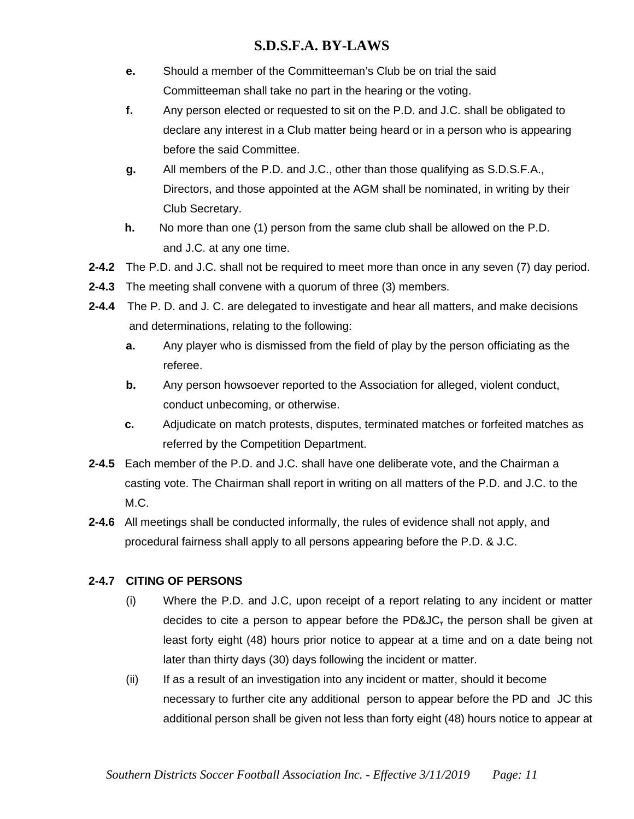- **e.** Should a member of the Committeeman's Club be on trial the said Committeeman shall take no part in the hearing or the voting.
- **f.** Any person elected or requested to sit on the P.D. and J.C. shall be obligated to declare any interest in a Club matter being heard or in a person who is appearing before the said Committee.
- **g.** All members of the P.D. and J.C., other than those qualifying as S.D.S.F.A., Directors, and those appointed at the AGM shall be nominated, in writing by their Club Secretary.
- **h.** No more than one (1) person from the same club shall be allowed on the P.D. and J.C. at any one time.
- **2-4.2** The P.D. and J.C. shall not be required to meet more than once in any seven (7) day period.
- **2-4.3** The meeting shall convene with a quorum of three (3) members.
- **2-4.4** The P. D. and J. C. are delegated to investigate and hear all matters, and make decisions and determinations, relating to the following:
	- **a.** Any player who is dismissed from the field of play by the person officiating as the referee.
	- **b.** Any person howsoever reported to the Association for alleged, violent conduct, conduct unbecoming, or otherwise.
	- **c.** Adjudicate on match protests, disputes, terminated matches or forfeited matches as referred by the Competition Department.
- **2-4.5** Each member of the P.D. and J.C. shall have one deliberate vote, and the Chairman a casting vote. The Chairman shall report in writing on all matters of the P.D. and J.C. to the M.C.
- **2-4.6** All meetings shall be conducted informally, the rules of evidence shall not apply, and procedural fairness shall apply to all persons appearing before the P.D. & J.C.

# **2-4.7 CITING OF PERSONS**

- (i) Where the P.D. and J.C, upon receipt of a report relating to any incident or matter decides to cite a person to appear before the PD&JC $_{\rm F}$  the person shall be given at least forty eight (48) hours prior notice to appear at a time and on a date being not later than thirty days (30) days following the incident or matter.
- (ii) If as a result of an investigation into any incident or matter, should it become necessary to further cite any additional person to appear before the PD and JC this additional person shall be given not less than forty eight (48) hours notice to appear at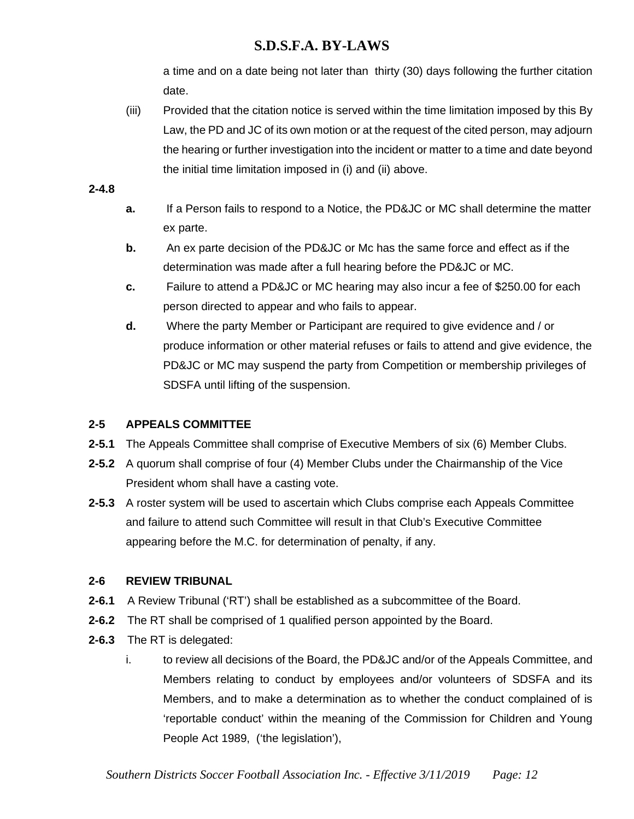a time and on a date being not later than thirty (30) days following the further citation date.

(iii) Provided that the citation notice is served within the time limitation imposed by this By Law, the PD and JC of its own motion or at the request of the cited person, may adjourn the hearing or further investigation into the incident or matter to a time and date beyond the initial time limitation imposed in (i) and (ii) above.

### **2-4.8**

- **a.** If a Person fails to respond to a Notice, the PD&JC or MC shall determine the matter ex parte.
- **b.** An ex parte decision of the PD&JC or Mc has the same force and effect as if the determination was made after a full hearing before the PD&JC or MC.
- **c.** Failure to attend a PD&JC or MC hearing may also incur a fee of \$250.00 for each person directed to appear and who fails to appear.
- **d.** Where the party Member or Participant are required to give evidence and / or produce information or other material refuses or fails to attend and give evidence, the PD&JC or MC may suspend the party from Competition or membership privileges of SDSFA until lifting of the suspension.

# **2-5 APPEALS COMMITTEE**

- **2-5.1** The Appeals Committee shall comprise of Executive Members of six (6) Member Clubs.
- **2-5.2** A quorum shall comprise of four (4) Member Clubs under the Chairmanship of the Vice President whom shall have a casting vote.
- **2-5.3** A roster system will be used to ascertain which Clubs comprise each Appeals Committee and failure to attend such Committee will result in that Club's Executive Committee appearing before the M.C. for determination of penalty, if any.

### **2-6 REVIEW TRIBUNAL**

- **2-6.1** A Review Tribunal ('RT') shall be established as a subcommittee of the Board.
- **2-6.2** The RT shall be comprised of 1 qualified person appointed by the Board.
- **2-6.3** The RT is delegated:
	- i. to review all decisions of the Board, the PD&JC and/or of the Appeals Committee, and Members relating to conduct by employees and/or volunteers of SDSFA and its Members, and to make a determination as to whether the conduct complained of is 'reportable conduct' within the meaning of the Commission for Children and Young People Act 1989, ('the legislation'),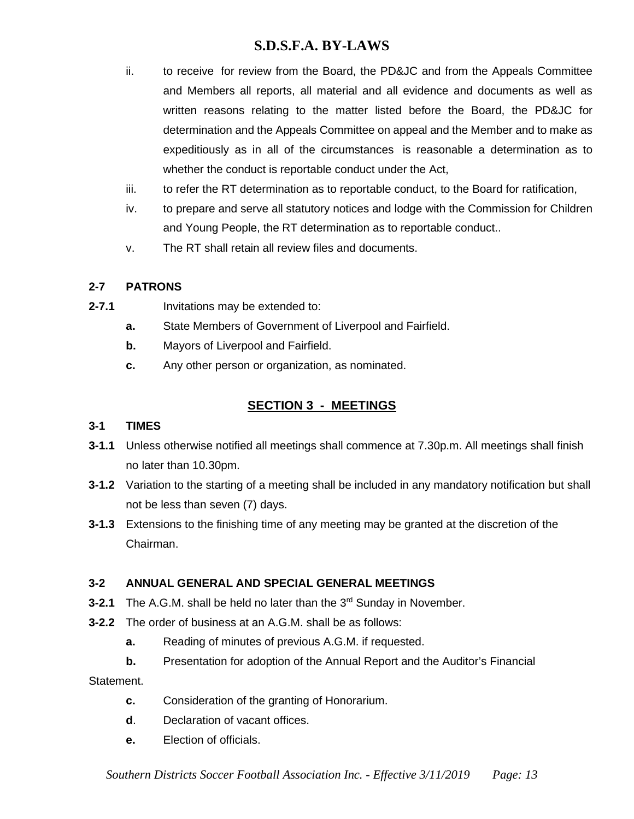- ii. to receive for review from the Board, the PD&JC and from the Appeals Committee and Members all reports, all material and all evidence and documents as well as written reasons relating to the matter listed before the Board, the PD&JC for determination and the Appeals Committee on appeal and the Member and to make as expeditiously as in all of the circumstances is reasonable a determination as to whether the conduct is reportable conduct under the Act,
- iii. to refer the RT determination as to reportable conduct, to the Board for ratification,
- iv. to prepare and serve all statutory notices and lodge with the Commission for Children and Young People, the RT determination as to reportable conduct..
- v. The RT shall retain all review files and documents.

### **2-7 PATRONS**

- **2-7.1** Invitations may be extended to:
	- **a.** State Members of Government of Liverpool and Fairfield.
	- **b.** Mayors of Liverpool and Fairfield.
	- **c.** Any other person or organization, as nominated.

# **SECTION 3 - MEETINGS**

### **3-1 TIMES**

- **3-1.1** Unless otherwise notified all meetings shall commence at 7.30p.m. All meetings shall finish no later than 10.30pm.
- **3-1.2** Variation to the starting of a meeting shall be included in any mandatory notification but shall not be less than seven (7) days.
- **3-1.3** Extensions to the finishing time of any meeting may be granted at the discretion of the Chairman.

# **3-2 ANNUAL GENERAL AND SPECIAL GENERAL MEETINGS**

- **3-2.1** The A.G.M. shall be held no later than the 3<sup>rd</sup> Sunday in November.
- **3-2.2** The order of business at an A.G.M. shall be as follows:
	- **a.** Reading of minutes of previous A.G.M. if requested.
	- **b.** Presentation for adoption of the Annual Report and the Auditor's Financial

Statement.

- **c.** Consideration of the granting of Honorarium.
- **d**. Declaration of vacant offices.
- **e.** Election of officials.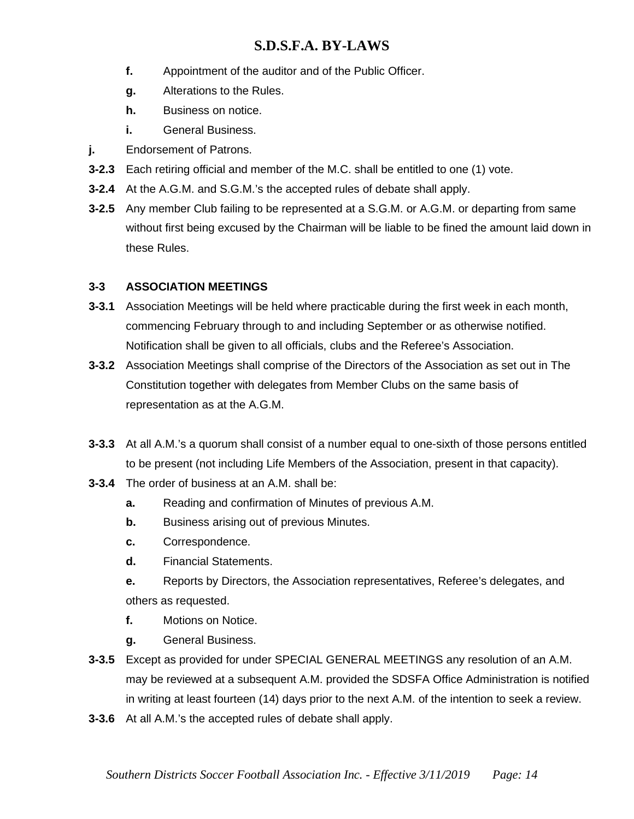- **f.** Appointment of the auditor and of the Public Officer.
- **g.** Alterations to the Rules.
- **h.** Business on notice.
- **i.** General Business.
- **j.** Endorsement of Patrons.
- **3-2.3** Each retiring official and member of the M.C. shall be entitled to one (1) vote.
- **3-2.4** At the A.G.M. and S.G.M.'s the accepted rules of debate shall apply.
- **3-2.5** Any member Club failing to be represented at a S.G.M. or A.G.M. or departing from same without first being excused by the Chairman will be liable to be fined the amount laid down in these Rules.

### **3-3 ASSOCIATION MEETINGS**

- **3-3.1** Association Meetings will be held where practicable during the first week in each month, commencing February through to and including September or as otherwise notified. Notification shall be given to all officials, clubs and the Referee's Association.
- **3-3.2** Association Meetings shall comprise of the Directors of the Association as set out in The Constitution together with delegates from Member Clubs on the same basis of representation as at the A.G.M.
- **3-3.3** At all A.M.'s a quorum shall consist of a number equal to one-sixth of those persons entitled to be present (not including Life Members of the Association, present in that capacity).
- **3-3.4** The order of business at an A.M. shall be:
	- **a.** Reading and confirmation of Minutes of previous A.M.
	- **b.** Business arising out of previous Minutes.
	- **c.** Correspondence.
	- **d.** Financial Statements.
	- **e.** Reports by Directors, the Association representatives, Referee's delegates, and others as requested.
	- **f.** Motions on Notice.
	- **g.** General Business.
- **3-3.5** Except as provided for under SPECIAL GENERAL MEETINGS any resolution of an A.M. may be reviewed at a subsequent A.M. provided the SDSFA Office Administration is notified in writing at least fourteen (14) days prior to the next A.M. of the intention to seek a review.
- **3-3.6** At all A.M.'s the accepted rules of debate shall apply.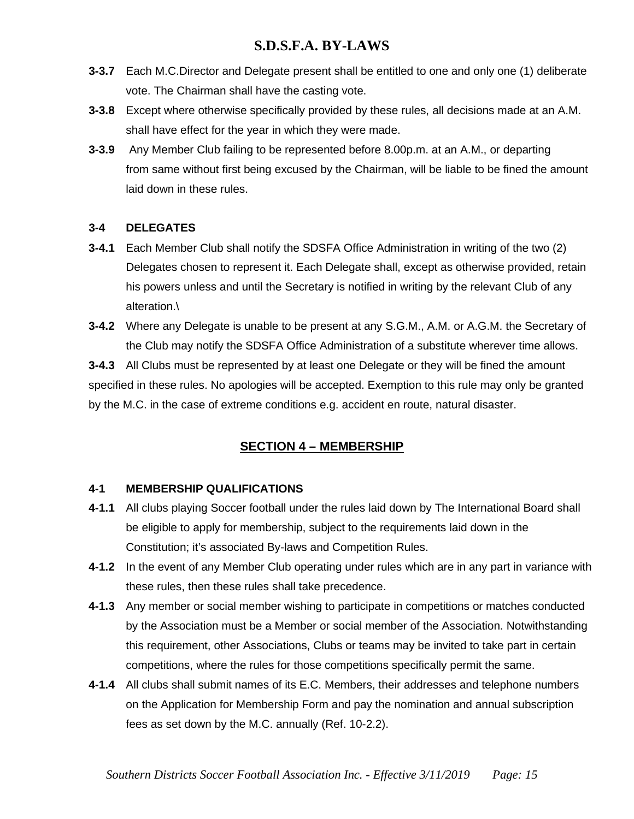- **3-3.7** Each M.C.Director and Delegate present shall be entitled to one and only one (1) deliberate vote. The Chairman shall have the casting vote.
- **3-3.8** Except where otherwise specifically provided by these rules, all decisions made at an A.M. shall have effect for the year in which they were made.
- **3-3.9** Any Member Club failing to be represented before 8.00p.m. at an A.M., or departing from same without first being excused by the Chairman, will be liable to be fined the amount laid down in these rules.

### **3-4 DELEGATES**

- **3-4.1** Each Member Club shall notify the SDSFA Office Administration in writing of the two (2) Delegates chosen to represent it. Each Delegate shall, except as otherwise provided, retain his powers unless and until the Secretary is notified in writing by the relevant Club of any alteration.\
- **3-4.2** Where any Delegate is unable to be present at any S.G.M., A.M. or A.G.M. the Secretary of the Club may notify the SDSFA Office Administration of a substitute wherever time allows.

**3-4.3** All Clubs must be represented by at least one Delegate or they will be fined the amount specified in these rules. No apologies will be accepted. Exemption to this rule may only be granted by the M.C. in the case of extreme conditions e.g. accident en route, natural disaster.

# **SECTION 4 – MEMBERSHIP**

### **4-1 MEMBERSHIP QUALIFICATIONS**

- **4-1.1** All clubs playing Soccer football under the rules laid down by The International Board shall be eligible to apply for membership, subject to the requirements laid down in the Constitution; it's associated By-laws and Competition Rules.
- **4-1.2** In the event of any Member Club operating under rules which are in any part in variance with these rules, then these rules shall take precedence.
- **4-1.3** Any member or social member wishing to participate in competitions or matches conducted by the Association must be a Member or social member of the Association. Notwithstanding this requirement, other Associations, Clubs or teams may be invited to take part in certain competitions, where the rules for those competitions specifically permit the same.
- **4-1.4** All clubs shall submit names of its E.C. Members, their addresses and telephone numbers on the Application for Membership Form and pay the nomination and annual subscription fees as set down by the M.C. annually (Ref. 10-2.2).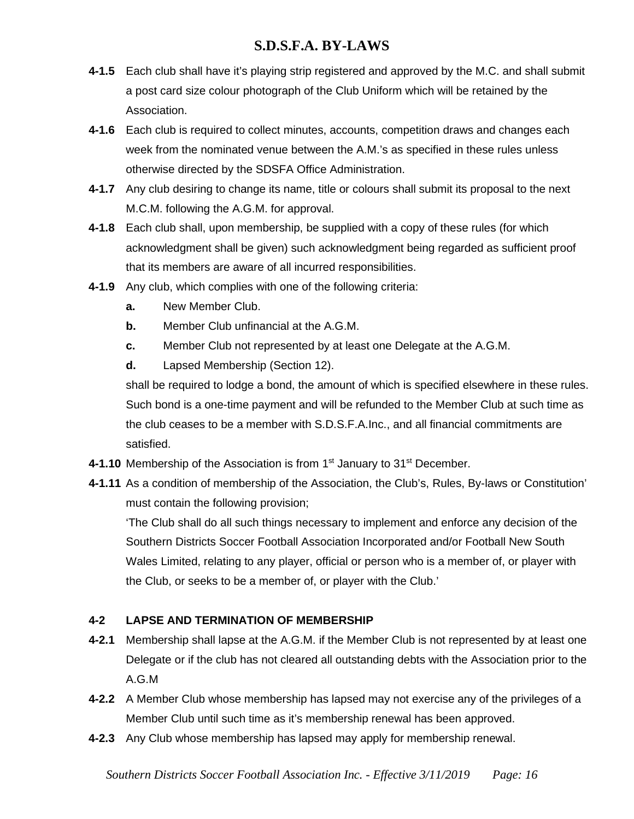- **4-1.5** Each club shall have it's playing strip registered and approved by the M.C. and shall submit a post card size colour photograph of the Club Uniform which will be retained by the Association.
- **4-1.6** Each club is required to collect minutes, accounts, competition draws and changes each week from the nominated venue between the A.M.'s as specified in these rules unless otherwise directed by the SDSFA Office Administration.
- **4-1.7** Any club desiring to change its name, title or colours shall submit its proposal to the next M.C.M. following the A.G.M. for approval.
- **4-1.8** Each club shall, upon membership, be supplied with a copy of these rules (for which acknowledgment shall be given) such acknowledgment being regarded as sufficient proof that its members are aware of all incurred responsibilities.
- **4-1.9** Any club, which complies with one of the following criteria:
	- **a.** New Member Club.
	- **b.** Member Club unfinancial at the A.G.M.
	- **c.** Member Club not represented by at least one Delegate at the A.G.M.
	- **d.** Lapsed Membership (Section 12).

shall be required to lodge a bond, the amount of which is specified elsewhere in these rules. Such bond is a one-time payment and will be refunded to the Member Club at such time as the club ceases to be a member with S.D.S.F.A.Inc., and all financial commitments are satisfied.

- **4-1.10** Membership of the Association is from 1<sup>st</sup> January to 31<sup>st</sup> December.
- **4-1.11** As a condition of membership of the Association, the Club's, Rules, By-laws or Constitution' must contain the following provision;

'The Club shall do all such things necessary to implement and enforce any decision of the Southern Districts Soccer Football Association Incorporated and/or Football New South Wales Limited, relating to any player, official or person who is a member of, or player with the Club, or seeks to be a member of, or player with the Club.'

# **4-2 LAPSE AND TERMINATION OF MEMBERSHIP**

- **4-2.1** Membership shall lapse at the A.G.M. if the Member Club is not represented by at least one Delegate or if the club has not cleared all outstanding debts with the Association prior to the A.G.M
- **4-2.2** A Member Club whose membership has lapsed may not exercise any of the privileges of a Member Club until such time as it's membership renewal has been approved.
- **4-2.3** Any Club whose membership has lapsed may apply for membership renewal.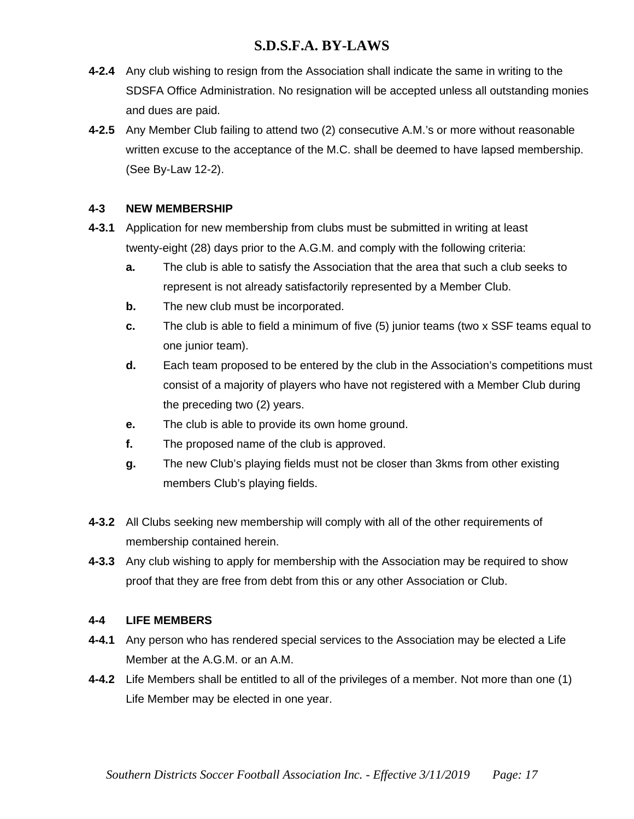- **4-2.4** Any club wishing to resign from the Association shall indicate the same in writing to the SDSFA Office Administration. No resignation will be accepted unless all outstanding monies and dues are paid.
- **4-2.5** Any Member Club failing to attend two (2) consecutive A.M.'s or more without reasonable written excuse to the acceptance of the M.C. shall be deemed to have lapsed membership. (See By-Law 12-2).

### **4-3 NEW MEMBERSHIP**

- **4-3.1** Application for new membership from clubs must be submitted in writing at least twenty-eight (28) days prior to the A.G.M. and comply with the following criteria:
	- **a.** The club is able to satisfy the Association that the area that such a club seeks to represent is not already satisfactorily represented by a Member Club.
	- **b.** The new club must be incorporated.
	- **c.** The club is able to field a minimum of five (5) junior teams (two x SSF teams equal to one junior team).
	- **d.** Each team proposed to be entered by the club in the Association's competitions must consist of a majority of players who have not registered with a Member Club during the preceding two (2) years.
	- **e.** The club is able to provide its own home ground.
	- **f.** The proposed name of the club is approved.
	- **g.** The new Club's playing fields must not be closer than 3kms from other existing members Club's playing fields.
- **4-3.2** All Clubs seeking new membership will comply with all of the other requirements of membership contained herein.
- **4-3.3** Any club wishing to apply for membership with the Association may be required to show proof that they are free from debt from this or any other Association or Club.

#### **4-4 LIFE MEMBERS**

- **4-4.1** Any person who has rendered special services to the Association may be elected a Life Member at the A.G.M. or an A.M.
- **4-4.2** Life Members shall be entitled to all of the privileges of a member. Not more than one (1) Life Member may be elected in one year.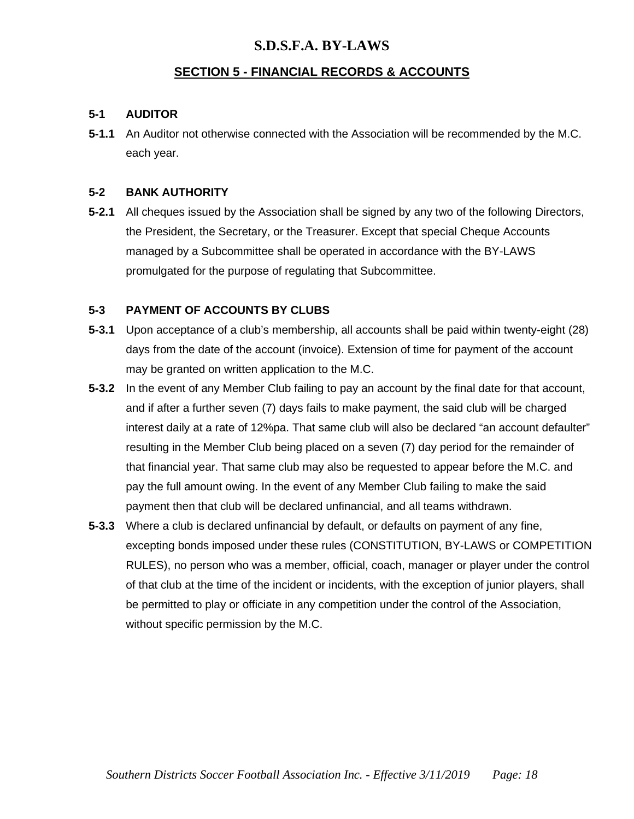### **SECTION 5 - FINANCIAL RECORDS & ACCOUNTS**

#### **5-1 AUDITOR**

**5-1.1** An Auditor not otherwise connected with the Association will be recommended by the M.C. each year.

#### **5-2 BANK AUTHORITY**

**5-2.1** All cheques issued by the Association shall be signed by any two of the following Directors, the President, the Secretary, or the Treasurer. Except that special Cheque Accounts managed by a Subcommittee shall be operated in accordance with the BY-LAWS promulgated for the purpose of regulating that Subcommittee.

#### **5-3 PAYMENT OF ACCOUNTS BY CLUBS**

- **5-3.1** Upon acceptance of a club's membership, all accounts shall be paid within twenty-eight (28) days from the date of the account (invoice). Extension of time for payment of the account may be granted on written application to the M.C.
- **5-3.2** In the event of any Member Club failing to pay an account by the final date for that account, and if after a further seven (7) days fails to make payment, the said club will be charged interest daily at a rate of 12%pa. That same club will also be declared "an account defaulter" resulting in the Member Club being placed on a seven (7) day period for the remainder of that financial year. That same club may also be requested to appear before the M.C. and pay the full amount owing. In the event of any Member Club failing to make the said payment then that club will be declared unfinancial, and all teams withdrawn.
- **5-3.3** Where a club is declared unfinancial by default, or defaults on payment of any fine, excepting bonds imposed under these rules (CONSTITUTION, BY-LAWS or COMPETITION RULES), no person who was a member, official, coach, manager or player under the control of that club at the time of the incident or incidents, with the exception of junior players, shall be permitted to play or officiate in any competition under the control of the Association, without specific permission by the M.C.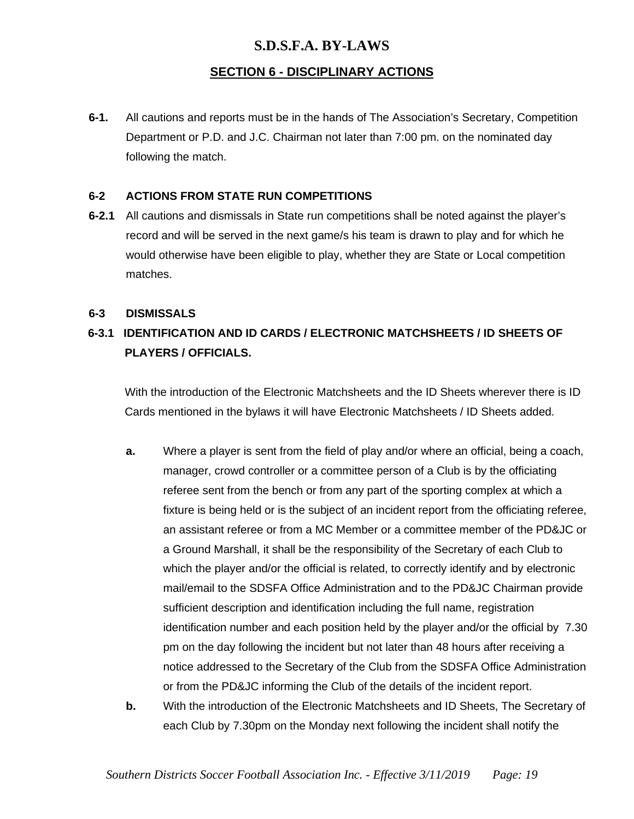# **SECTION 6 - DISCIPLINARY ACTIONS**

**6-1.** All cautions and reports must be in the hands of The Association's Secretary, Competition Department or P.D. and J.C. Chairman not later than 7:00 pm. on the nominated day following the match.

### **6-2 ACTIONS FROM STATE RUN COMPETITIONS**

**6-2.1** All cautions and dismissals in State run competitions shall be noted against the player's record and will be served in the next game/s his team is drawn to play and for which he would otherwise have been eligible to play, whether they are State or Local competition matches.

#### **6-3 DISMISSALS**

# **6-3.1 IDENTIFICATION AND ID CARDS / ELECTRONIC MATCHSHEETS / ID SHEETS OF PLAYERS / OFFICIALS.**

With the introduction of the Electronic Matchsheets and the ID Sheets wherever there is ID Cards mentioned in the bylaws it will have Electronic Matchsheets / ID Sheets added.

- **a.** Where a player is sent from the field of play and/or where an official, being a coach, manager, crowd controller or a committee person of a Club is by the officiating referee sent from the bench or from any part of the sporting complex at which a fixture is being held or is the subject of an incident report from the officiating referee, an assistant referee or from a MC Member or a committee member of the PD&JC or a Ground Marshall, it shall be the responsibility of the Secretary of each Club to which the player and/or the official is related, to correctly identify and by electronic mail/email to the SDSFA Office Administration and to the PD&JC Chairman provide sufficient description and identification including the full name, registration identification number and each position held by the player and/or the official by 7.30 pm on the day following the incident but not later than 48 hours after receiving a notice addressed to the Secretary of the Club from the SDSFA Office Administration or from the PD&JC informing the Club of the details of the incident report.
- **b.** With the introduction of the Electronic Matchsheets and ID Sheets, The Secretary of each Club by 7.30pm on the Monday next following the incident shall notify the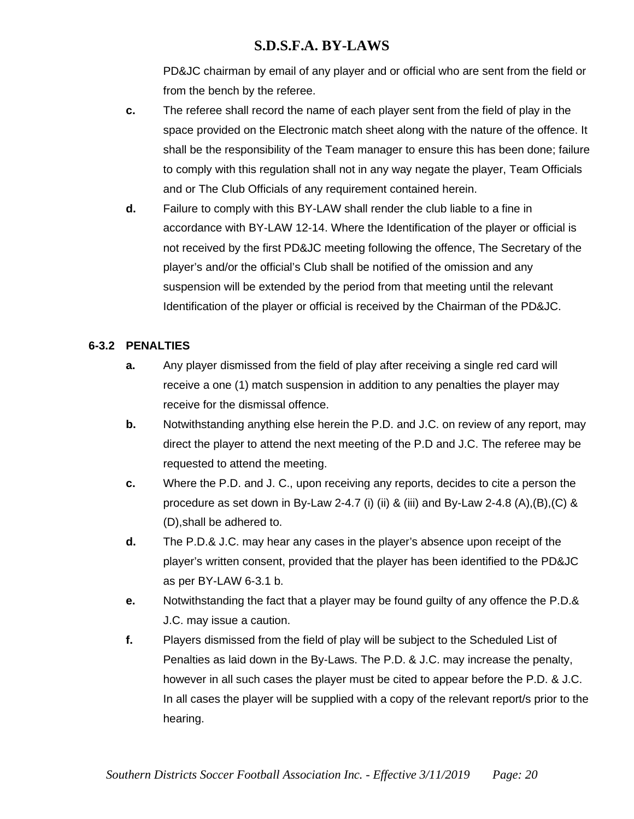PD&JC chairman by email of any player and or official who are sent from the field or from the bench by the referee.

- **c.** The referee shall record the name of each player sent from the field of play in the space provided on the Electronic match sheet along with the nature of the offence. It shall be the responsibility of the Team manager to ensure this has been done; failure to comply with this regulation shall not in any way negate the player, Team Officials and or The Club Officials of any requirement contained herein.
- **d.** Failure to comply with this BY-LAW shall render the club liable to a fine in accordance with BY-LAW 12-14. Where the Identification of the player or official is not received by the first PD&JC meeting following the offence, The Secretary of the player's and/or the official's Club shall be notified of the omission and any suspension will be extended by the period from that meeting until the relevant Identification of the player or official is received by the Chairman of the PD&JC.

### **6-3.2 PENALTIES**

- **a.** Any player dismissed from the field of play after receiving a single red card will receive a one (1) match suspension in addition to any penalties the player may receive for the dismissal offence.
- **b.** Notwithstanding anything else herein the P.D. and J.C. on review of any report, may direct the player to attend the next meeting of the P.D and J.C. The referee may be requested to attend the meeting.
- **c.** Where the P.D. and J. C., upon receiving any reports, decides to cite a person the procedure as set down in By-Law 2-4.7 (i) (ii) & (iii) and By-Law 2-4.8 (A),(B),(C) & (D),shall be adhered to.
- **d.** The P.D.& J.C. may hear any cases in the player's absence upon receipt of the player's written consent, provided that the player has been identified to the PD&JC as per BY-LAW 6-3.1 b.
- **e.** Notwithstanding the fact that a player may be found guilty of any offence the P.D.& J.C. may issue a caution.
- **f.** Players dismissed from the field of play will be subject to the Scheduled List of Penalties as laid down in the By-Laws. The P.D. & J.C. may increase the penalty, however in all such cases the player must be cited to appear before the P.D. & J.C. In all cases the player will be supplied with a copy of the relevant report/s prior to the hearing.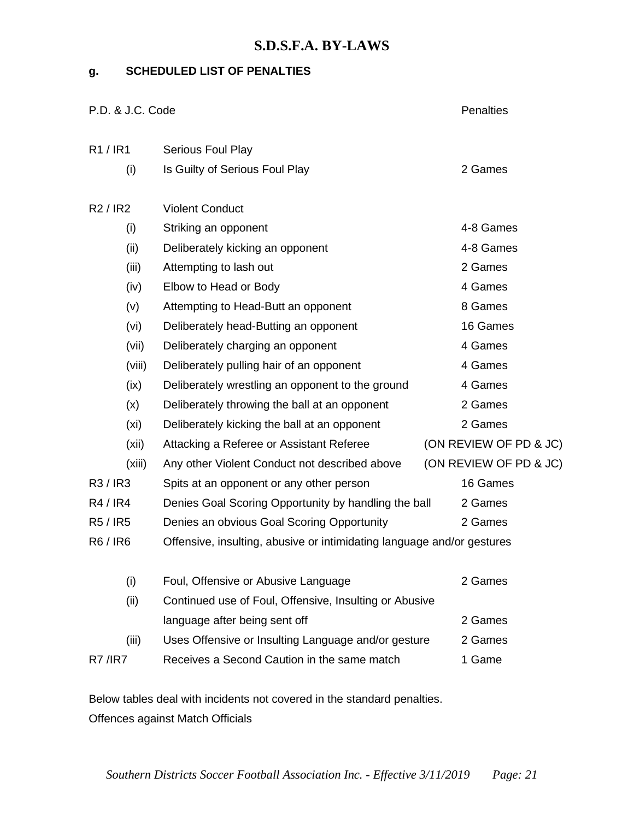### **g. SCHEDULED LIST OF PENALTIES**

| P.D. & J.C. Code | <b>Penalties</b>                                                       |                        |  |  |  |  |
|------------------|------------------------------------------------------------------------|------------------------|--|--|--|--|
| R1/IR1           | Serious Foul Play                                                      |                        |  |  |  |  |
| (i)              | Is Guilty of Serious Foul Play                                         | 2 Games                |  |  |  |  |
| R2/IR2           | <b>Violent Conduct</b>                                                 |                        |  |  |  |  |
| (i)              | Striking an opponent                                                   | 4-8 Games              |  |  |  |  |
| (ii)             | Deliberately kicking an opponent                                       | 4-8 Games              |  |  |  |  |
| (iii)            | Attempting to lash out                                                 | 2 Games                |  |  |  |  |
| (iv)             | Elbow to Head or Body                                                  | 4 Games                |  |  |  |  |
| (v)              | Attempting to Head-Butt an opponent                                    | 8 Games                |  |  |  |  |
| (vi)             | Deliberately head-Butting an opponent                                  | 16 Games               |  |  |  |  |
| (vii)            | Deliberately charging an opponent                                      | 4 Games                |  |  |  |  |
| (viii)           | Deliberately pulling hair of an opponent                               | 4 Games                |  |  |  |  |
| (ix)             | Deliberately wrestling an opponent to the ground                       | 4 Games                |  |  |  |  |
| (x)              | Deliberately throwing the ball at an opponent                          | 2 Games                |  |  |  |  |
| (xi)             | Deliberately kicking the ball at an opponent                           | 2 Games                |  |  |  |  |
| (xii)            | Attacking a Referee or Assistant Referee                               | (ON REVIEW OF PD & JC) |  |  |  |  |
| (xiii)           | Any other Violent Conduct not described above                          | (ON REVIEW OF PD & JC) |  |  |  |  |
| R3/IR3           | Spits at an opponent or any other person                               | 16 Games               |  |  |  |  |
| R4/IR4           | Denies Goal Scoring Opportunity by handling the ball                   | 2 Games                |  |  |  |  |
| R5/IR5           | Denies an obvious Goal Scoring Opportunity                             | 2 Games                |  |  |  |  |
| R6/IR6           | Offensive, insulting, abusive or intimidating language and/or gestures |                        |  |  |  |  |
| (i)              | Foul, Offensive or Abusive Language                                    | 2 Games                |  |  |  |  |
| (ii)             | Continued use of Foul, Offensive, Insulting or Abusive                 |                        |  |  |  |  |
|                  | language after being sent off                                          | 2 Games                |  |  |  |  |
| (iii)            | Uses Offensive or Insulting Language and/or gesture                    | 2 Games                |  |  |  |  |
| <b>R7 / R7</b>   | Receives a Second Caution in the same match                            | 1 Game                 |  |  |  |  |

Below tables deal with incidents not covered in the standard penalties. Offences against Match Officials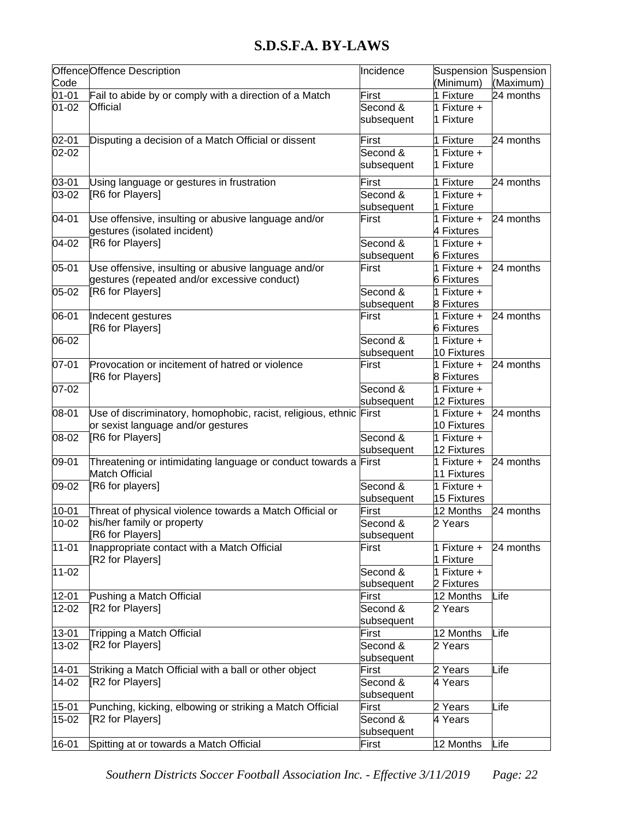|           | Offence Offence Description                                  | Incidence  | Suspension Suspension    |           |
|-----------|--------------------------------------------------------------|------------|--------------------------|-----------|
| Code      |                                                              |            | (Minimum)                | (Maximum) |
| $01 - 01$ | Fail to abide by or comply with a direction of a Match       | First      | 1 Fixture                | 24 months |
| $01 - 02$ | <b>Official</b>                                              | Second &   | 1 Fixture +              |           |
|           |                                                              | subsequent | 1 Fixture                |           |
| $02 - 01$ | Disputing a decision of a Match Official or dissent          | First      | 1 Fixture                | 24 months |
| 02-02     |                                                              | Second &   | 1 Fixture +              |           |
|           |                                                              | subsequent | 1 Fixture                |           |
| 03-01     | Using language or gestures in frustration                    | First      | 1 Fixture                | 24 months |
| 03-02     | [R6 for Players]                                             | Second &   | 1 Fixture $+$            |           |
|           |                                                              | subsequent | 1 Fixture                |           |
| 04-01     | Use offensive, insulting or abusive language and/or          | First      | $\overline{1}$ Fixture + | 24 months |
|           | gestures (isolated incident)                                 |            | 4 Fixtures               |           |
| 04-02     | [R6 for Players]                                             | Second &   | 1 Fixture +              |           |
|           |                                                              | subsequent | <b>6 Fixtures</b>        |           |
| 05-01     | Use offensive, insulting or abusive language and/or          | First      | 1 Fixture +              | 24 months |
|           | gestures (repeated and/or excessive conduct)                 |            | <b>6 Fixtures</b>        |           |
| $05 - 02$ | [R6 for Players]                                             | Second &   | 1 Fixture $+$            |           |
|           |                                                              | subsequent | 8 Fixtures               |           |
| 06-01     | Indecent gestures                                            | First      | 1 Fixture +              | 24 months |
|           | [R6 for Players]                                             |            | <b>6 Fixtures</b>        |           |
| 06-02     |                                                              | Second &   | 1 Fixture $+$            |           |
|           |                                                              | subsequent | 10 Fixtures              |           |
| 07-01     | Provocation or incitement of hatred or violence              | First      | 1 Fixture +              | 24 months |
|           | [R6 for Players]                                             |            | 8 Fixtures               |           |
| 07-02     |                                                              | Second &   | 1 Fixture $+$            |           |
|           |                                                              | subsequent | 12 Fixtures              |           |
| 08-01     | Use of discriminatory, homophobic, racist, religious, ethnic | First      | 1 Fixture $+$            | 24 months |
|           | or sexist language and/or gestures                           |            | 10 Fixtures              |           |
| 08-02     | [R6 for Players]                                             | Second &   | 1 Fixture $+$            |           |
|           |                                                              | subsequent | 12 Fixtures              |           |
| 09-01     | Threatening or intimidating language or conduct towards a    | First      | 1 Fixture $+$            | 24 months |
|           | <b>Match Official</b>                                        |            | 11 Fixtures              |           |
| 09-02     | [R6 for players]                                             | Second &   | 1 Fixture $+$            |           |
|           |                                                              | subsequent | 15 Fixtures              |           |
| 10-01     | Threat of physical violence towards a Match Official or      | First      | 12 Months                | 24 months |
| $10 - 02$ | his/her family or property                                   | Second &   | 2 Years                  |           |
|           | R6 for Players]                                              | subsequent |                          |           |
| 11-01     | Inappropriate contact with a Match Official                  | First      | 1 Fixture +              | 24 months |
|           | [R2 for Players]                                             |            | 1 Fixture                |           |
| 11-02     |                                                              | Second &   | 1 Fixture $+$            |           |
|           |                                                              | subsequent | 2 Fixtures               |           |
| $12 - 01$ | Pushing a Match Official                                     | First      | 12 Months                | Life      |
| $12 - 02$ | [R2 for Players]                                             | Second &   | $\overline{2}$ Years     |           |
|           |                                                              | subsequent |                          |           |
| 13-01     | Tripping a Match Official                                    | First      | 12 Months                | Life      |
| 13-02     | [R2 for Players]                                             | Second &   | 2 Years                  |           |
|           |                                                              | subsequent |                          |           |
| $14 - 01$ | Striking a Match Official with a ball or other object        | First      | 2 Years                  | Life      |
| 14-02     | [R2 for Players]                                             | Second &   | 4 Years                  |           |
|           |                                                              | subsequent |                          |           |
| $15 - 01$ | Punching, kicking, elbowing or striking a Match Official     | First      | 2 Years                  | Life      |
| 15-02     | [R2 for Players]                                             | Second &   | 4 Years                  |           |
|           |                                                              | subsequent |                          |           |
| 16-01     | Spitting at or towards a Match Official                      | First      | 12 Months                | Life      |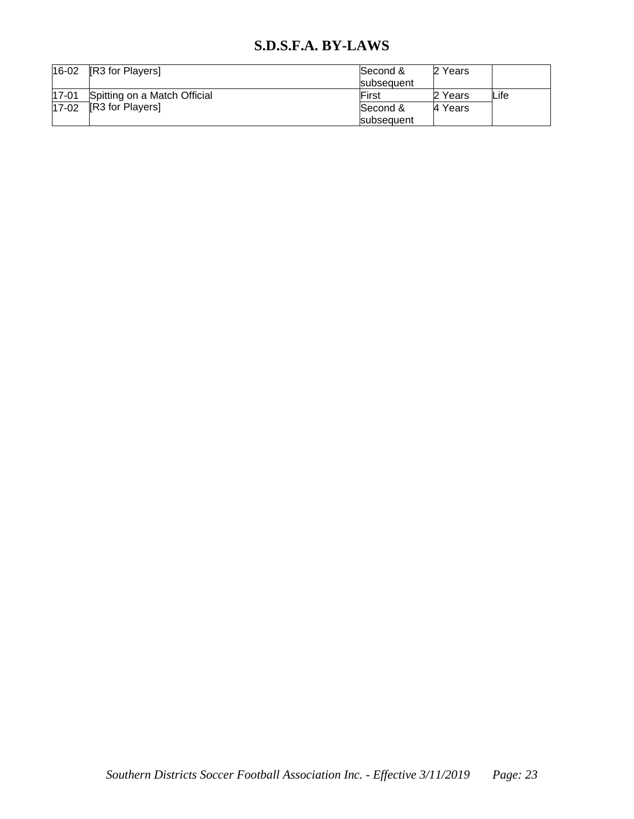| 16-02     | [R3 for Players]             | Second &<br>subsequent | 2 Years |      |
|-----------|------------------------------|------------------------|---------|------|
| $17 - 01$ | Spitting on a Match Official | First                  | 2 Years | Life |
| $17 - 02$ | <b>R3</b> for Players        | Second &               | 4 Years |      |
|           |                              | subsequent             |         |      |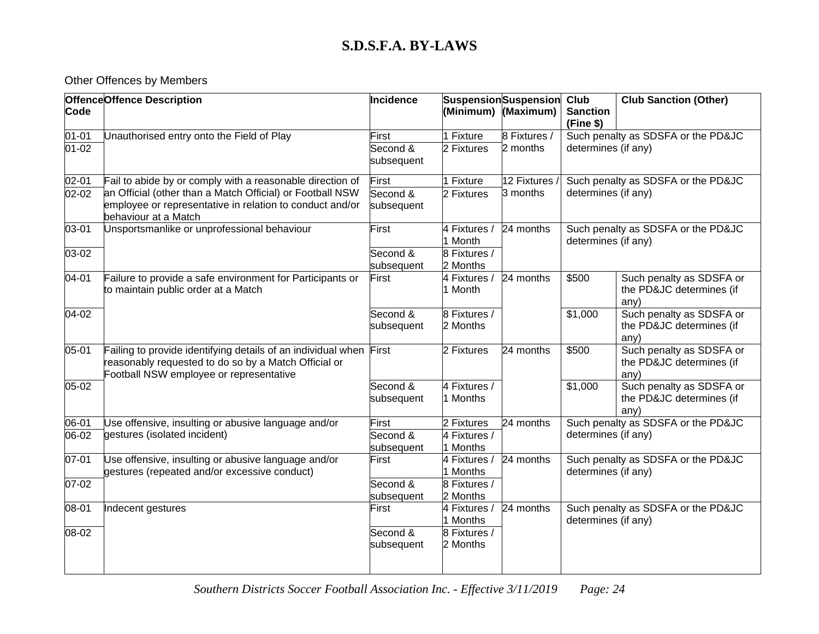# Other Offences by Members

| <b>OffenceOffence Description</b> |                                                                                                                                                                 | Incidence              |                          | <b>Suspension</b> Suspension | Club<br><b>Club Sanction (Other)</b>                      |                                                              |  |
|-----------------------------------|-----------------------------------------------------------------------------------------------------------------------------------------------------------------|------------------------|--------------------------|------------------------------|-----------------------------------------------------------|--------------------------------------------------------------|--|
| Code                              |                                                                                                                                                                 |                        | (Minimum)                | (Maximum)                    | <b>Sanction</b><br>(Fine \$)                              |                                                              |  |
| $01 - 01$                         | Unauthorised entry onto the Field of Play                                                                                                                       | First                  | 1 Fixture                | 8 Fixtures /                 |                                                           | Such penalty as SDSFA or the PD&JC                           |  |
| $01 - 02$                         |                                                                                                                                                                 | Second &<br>subsequent | 2 Fixtures               | 2 months                     | determines (if any)                                       |                                                              |  |
| $02 - 01$                         | Fail to abide by or comply with a reasonable direction of                                                                                                       | First                  | 1 Fixture                | 12 Fixtures                  |                                                           | Such penalty as SDSFA or the PD&JC                           |  |
| $02 - 02$                         | an Official (other than a Match Official) or Football NSW<br>employee or representative in relation to conduct and/or<br>behaviour at a Match                   | Second &<br>subsequent | 2 Fixtures               | 3 months                     | determines (if any)                                       |                                                              |  |
| 03-01                             | Unsportsmanlike or unprofessional behaviour                                                                                                                     | First                  | 4 Fixtures /<br>1 Month  | 24 months                    | determines (if any)                                       | Such penalty as SDSFA or the PD&JC                           |  |
| 03-02                             |                                                                                                                                                                 | Second &<br>subsequent | 8 Fixtures /<br>2 Months |                              |                                                           |                                                              |  |
| $04 - 01$                         | Failure to provide a safe environment for Participants or<br>to maintain public order at a Match                                                                | First                  | 4 Fixtures /<br>1 Month  | 24 months                    | \$500                                                     | Such penalty as SDSFA or<br>the PD&JC determines (if<br>any) |  |
| 04-02                             |                                                                                                                                                                 | Second &<br>subsequent | 8 Fixtures /<br>2 Months |                              | \$1,000                                                   | Such penalty as SDSFA or<br>the PD&JC determines (if<br>any) |  |
| 05-01                             | Failing to provide identifying details of an individual when<br>reasonably requested to do so by a Match Official or<br>Football NSW employee or representative | First                  | 2 Fixtures               | 24 months                    | \$500                                                     | Such penalty as SDSFA or<br>the PD&JC determines (if<br>any) |  |
| $05 - 02$                         |                                                                                                                                                                 | Second &<br>subsequent | 4 Fixtures /<br>1 Months |                              | \$1,000                                                   | Such penalty as SDSFA or<br>the PD&JC determines (if<br>any) |  |
| 06-01                             | Use offensive, insulting or abusive language and/or                                                                                                             | First                  | 2 Fixtures               | 24 months                    |                                                           | Such penalty as SDSFA or the PD&JC                           |  |
| 06-02                             | gestures (isolated incident)                                                                                                                                    | Second &<br>subsequent | 4 Fixtures /<br>1 Months |                              | determines (if any)                                       |                                                              |  |
| 07-01                             | Use offensive, insulting or abusive language and/or<br>gestures (repeated and/or excessive conduct)                                                             | First                  | 4 Fixtures /<br>1 Months | 24 months                    | Such penalty as SDSFA or the PD&JC<br>determines (if any) |                                                              |  |
| $07 - 02$                         |                                                                                                                                                                 | Second &<br>subsequent | 8 Fixtures /<br>2 Months |                              |                                                           |                                                              |  |
| 08-01                             | Indecent gestures                                                                                                                                               | First                  | 4 Fixtures /<br>1 Months | 24 months                    | determines (if any)                                       | Such penalty as SDSFA or the PD&JC                           |  |
| 08-02                             |                                                                                                                                                                 | Second &<br>subsequent | 8 Fixtures /<br>2 Months |                              |                                                           |                                                              |  |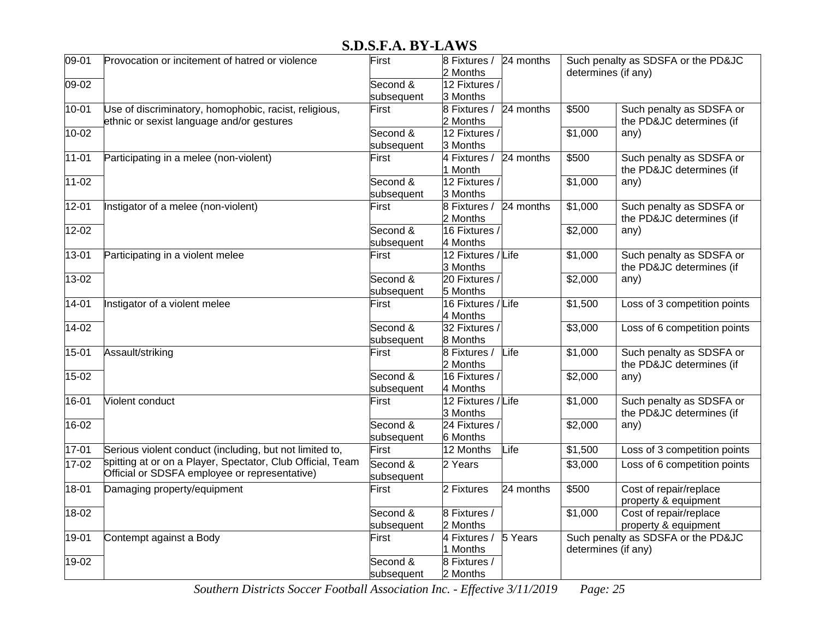| 09-01     | Provocation or incitement of hatred or violence            | First      | 8 Fixtures / 24 months |           |                      | Such penalty as SDSFA or the PD&JC |
|-----------|------------------------------------------------------------|------------|------------------------|-----------|----------------------|------------------------------------|
|           |                                                            |            | 2 Months               |           | determines (if any)  |                                    |
| 09-02     |                                                            | Second &   | 12 Fixtures /          |           |                      |                                    |
|           |                                                            | subsequent | 3 Months               |           |                      |                                    |
| $10 - 01$ | Use of discriminatory, homophobic, racist, religious,      | First      | 8 Fixtures /           | 24 months | \$500                | Such penalty as SDSFA or           |
|           | ethnic or sexist language and/or gestures                  |            | 2 Months               |           |                      | the PD&JC determines (if           |
| 10-02     |                                                            | Second &   | 12 Fixtures /          |           | \$1,000              | any)                               |
|           |                                                            | subsequent | 3 Months               |           |                      |                                    |
| $11 - 01$ | Participating in a melee (non-violent)                     | First      | 4 Fixtures /           | 24 months | \$500                | Such penalty as SDSFA or           |
|           |                                                            |            | 1 Month                |           |                      | the PD&JC determines (if           |
| $11 - 02$ |                                                            | Second &   | 12 Fixtures /          |           | $\overline{$}1,000$  | any)                               |
|           |                                                            | subsequent | 3 Months               |           |                      |                                    |
| $12 - 01$ | Instigator of a melee (non-violent)                        | First      | 8 Fixtures /           | 24 months | $\overline{$1,000}$  | Such penalty as SDSFA or           |
|           |                                                            |            | 2 Months               |           |                      | the PD&JC determines (if           |
| $12 - 02$ |                                                            | Second &   | 16 Fixtures /          |           | \$2,000              | any)                               |
|           |                                                            | subsequent | 4 Months               |           |                      |                                    |
| 13-01     | Participating in a violent melee                           | First      | 12 Fixtures / Life     |           | \$1,000              | Such penalty as SDSFA or           |
|           |                                                            |            | 3 Months               |           |                      | the PD&JC determines (if           |
| $13 - 02$ |                                                            | Second &   | 20 Fixtures /          |           | \$2,000              | any)                               |
|           |                                                            | subsequent | 5 Months               |           |                      |                                    |
| $14 - 01$ | Instigator of a violent melee                              | First      | 16 Fixtures / Life     |           | \$1,500              | Loss of 3 competition points       |
|           |                                                            |            | 4 Months               |           |                      |                                    |
| $14-02$   |                                                            | Second &   | 32 Fixtures /          |           | \$3,000              | Loss of 6 competition points       |
|           |                                                            | subsequent | 8 Months               |           |                      |                                    |
| $15 - 01$ | Assault/striking                                           | First      | 8 Fixtures /           | Life      | \$1,000              | Such penalty as SDSFA or           |
|           |                                                            |            | 2 Months               |           |                      | the PD&JC determines (if           |
| 15-02     |                                                            | Second &   | 16 Fixtures /          |           | \$2,000              | any)                               |
|           |                                                            | subsequent | 4 Months               |           |                      |                                    |
| 16-01     | Violent conduct                                            | First      | 12 Fixtures / Life     |           | $\overline{\$1,000}$ | Such penalty as SDSFA or           |
|           |                                                            |            | 3 Months               |           |                      | the PD&JC determines (if           |
| 16-02     |                                                            | Second &   | 24 Fixtures /          |           | \$2,000              | any)                               |
|           |                                                            | subsequent | 6 Months               |           |                      |                                    |
| 17-01     | Serious violent conduct (including, but not limited to,    | First      | 12 Months              | Life      | \$1,500              | Loss of 3 competition points       |
| 17-02     | spitting at or on a Player, Spectator, Club Official, Team | Second &   | 2 Years                |           | \$3,000              | Loss of 6 competition points       |
|           | Official or SDSFA employee or representative)              | subsequent |                        |           |                      |                                    |
| $18 - 01$ | Damaging property/equipment                                | First      | 2 Fixtures             | 24 months | \$500                | Cost of repair/replace             |
|           |                                                            |            |                        |           |                      | property & equipment               |
| 18-02     |                                                            | Second &   | 8 Fixtures /           |           | \$1,000              | Cost of repair/replace             |
|           |                                                            | subsequent | 2 Months               |           |                      | property & equipment               |
| 19-01     | Contempt against a Body                                    | First      | 4 Fixtures /           | 5 Years   |                      | Such penalty as SDSFA or the PD&JC |
|           |                                                            |            | 1 Months               |           | determines (if any)  |                                    |
| 19-02     |                                                            | Second &   | 8 Fixtures /           |           |                      |                                    |
|           |                                                            | subsequent | 2 Months               |           |                      |                                    |

*Southern Districts Soccer Football Association Inc. - Effective 3/11/2019 Page: 25*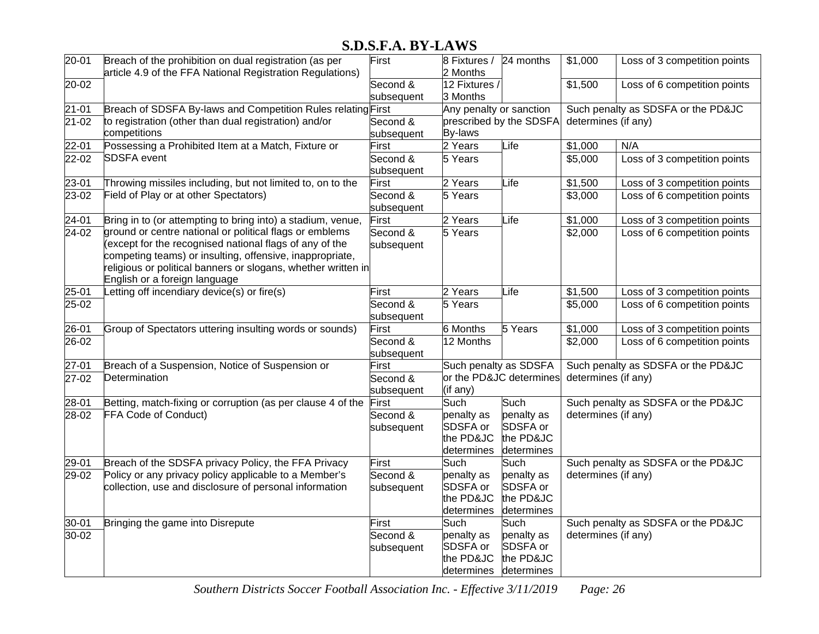| $20 - 01$              | Breach of the prohibition on dual registration (as per<br>article 4.9 of the FFA National Registration Regulations)                                                                                                                                                                                                                            | First                           | 8 Fixtures / 24 months<br>2 Months                        |                                                           | \$1,000                                                   | Loss of 3 competition points                                 |
|------------------------|------------------------------------------------------------------------------------------------------------------------------------------------------------------------------------------------------------------------------------------------------------------------------------------------------------------------------------------------|---------------------------------|-----------------------------------------------------------|-----------------------------------------------------------|-----------------------------------------------------------|--------------------------------------------------------------|
| 20-02                  |                                                                                                                                                                                                                                                                                                                                                | Second &<br>subsequent          | 12 Fixtures /<br>3 Months                                 |                                                           | \$1,500                                                   | Loss of 6 competition points                                 |
| $21 - 01$<br>$21 - 02$ | Breach of SDSFA By-laws and Competition Rules relating First<br>to registration (other than dual registration) and/or<br>competitions                                                                                                                                                                                                          | Second &<br>subsequent          | Any penalty or sanction<br>By-laws                        | prescribed by the SDSFA                                   | determines (if any)                                       | Such penalty as SDSFA or the PD&JC                           |
| $22 - 01$<br>$22 - 02$ | Possessing a Prohibited Item at a Match, Fixture or<br><b>SDSFA</b> event                                                                                                                                                                                                                                                                      | First<br>Second &<br>subsequent | 2 Years<br>5 Years                                        | Life                                                      | \$1,000<br>\$5,000                                        | N/A<br>Loss of 3 competition points                          |
| 23-01<br>23-02         | Throwing missiles including, but not limited to, on to the<br>Field of Play or at other Spectators)                                                                                                                                                                                                                                            | First<br>Second &<br>subsequent | 2 Years<br>5 Years                                        | Life                                                      | \$1,500<br>\$3,000                                        | Loss of 3 competition points<br>Loss of 6 competition points |
| $24 - 01$<br>$24-02$   | Bring in to (or attempting to bring into) a stadium, venue,<br>ground or centre national or political flags or emblems<br>except for the recognised national flags of any of the<br>competing teams) or insulting, offensive, inappropriate,<br>religious or political banners or slogans, whether written in<br>English or a foreign language | First<br>Second &<br>subsequent | 2 Years<br>5 Years                                        | Life                                                      | \$1,000<br>\$2,000                                        | Loss of 3 competition points<br>Loss of 6 competition points |
| $25 - 01$<br>$25-02$   | Letting off incendiary device(s) or fire(s)                                                                                                                                                                                                                                                                                                    | First<br>Second &<br>subsequent | 2 Years<br>5 Years                                        | Life                                                      | \$1,500<br>\$5,000                                        | Loss of 3 competition points<br>Loss of 6 competition points |
| 26-01<br>$26-02$       | Group of Spectators uttering insulting words or sounds)                                                                                                                                                                                                                                                                                        | First<br>Second &<br>subsequent | <b>6</b> Months<br>12 Months                              | 5 Years                                                   | \$1,000<br>\$2,000                                        | Loss of 3 competition points<br>Loss of 6 competition points |
| $27 - 01$<br>$27-02$   | Breach of a Suspension, Notice of Suspension or<br>Determination                                                                                                                                                                                                                                                                               | First<br>Second &<br>subsequent | Such penalty as SDSFA<br>(if any)                         | or the PD&JC determines                                   | determines (if any)                                       | Such penalty as SDSFA or the PD&JC                           |
| 28-01<br>$28-02$       | Betting, match-fixing or corruption (as per clause 4 of the<br>FFA Code of Conduct)                                                                                                                                                                                                                                                            | First<br>Second &<br>subsequent | Such<br>penalty as<br>SDSFA or<br>the PD&JC<br>determines | Such<br>penalty as<br>SDSFA or<br>the PD&JC<br>determines | Such penalty as SDSFA or the PD&JC<br>determines (if any) |                                                              |
| 29-01<br>29-02         | Breach of the SDSFA privacy Policy, the FFA Privacy<br>Policy or any privacy policy applicable to a Member's<br>collection, use and disclosure of personal information                                                                                                                                                                         | First<br>Second &<br>subsequent | Such<br>penalty as<br>SDSFA or<br>the PD&JC<br>determines | Such<br>penalty as<br>SDSFA or<br>the PD&JC<br>determines | determines (if any)                                       | Such penalty as SDSFA or the PD&JC                           |
| 30-01<br>30-02         | Bringing the game into Disrepute                                                                                                                                                                                                                                                                                                               | First<br>Second &<br>subsequent | Such<br>penalty as<br>SDSFA or<br>the PD&JC<br>determines | Such<br>penalty as<br>SDSFA or<br>the PD&JC<br>determines | determines (if any)                                       | Such penalty as SDSFA or the PD&JC                           |

*Southern Districts Soccer Football Association Inc. - Effective 3/11/2019 Page: 26*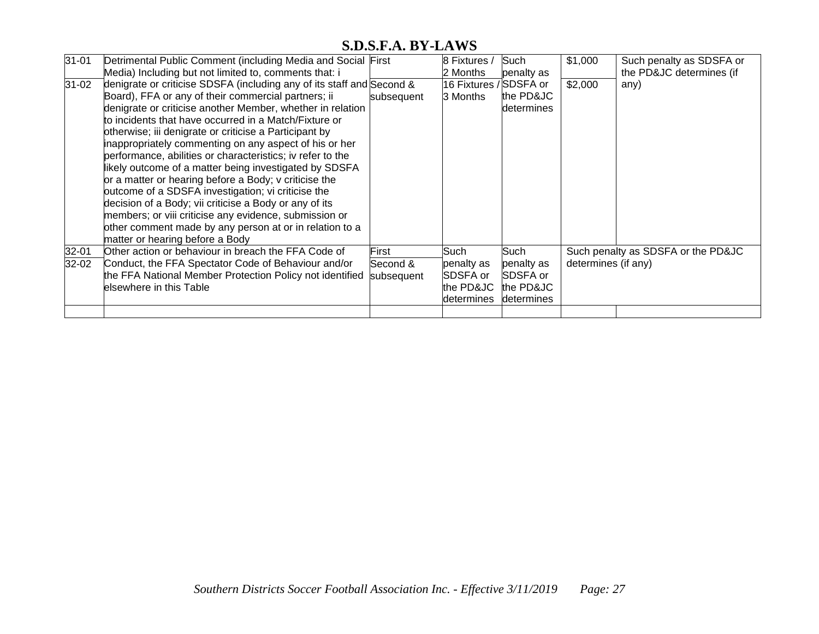| $31 - 01$            | Detrimental Public Comment (including Media and Social First<br>Media) Including but not limited to, comments that: i                                                                                                                                                                                                                                                                                                                                                                                                                                                                                                                                                                                                                                                                                                            |                                 | 8 Fixtures /<br>2 Months                                   | Such<br>penalty as                                        | \$1,000                                                   | Such penalty as SDSFA or<br>the PD&JC determines (if |
|----------------------|----------------------------------------------------------------------------------------------------------------------------------------------------------------------------------------------------------------------------------------------------------------------------------------------------------------------------------------------------------------------------------------------------------------------------------------------------------------------------------------------------------------------------------------------------------------------------------------------------------------------------------------------------------------------------------------------------------------------------------------------------------------------------------------------------------------------------------|---------------------------------|------------------------------------------------------------|-----------------------------------------------------------|-----------------------------------------------------------|------------------------------------------------------|
| $31 - 02$            | denigrate or criticise SDSFA (including any of its staff and Second &<br>Board), FFA or any of their commercial partners; ii<br>denigrate or criticise another Member, whether in relation<br>to incidents that have occurred in a Match/Fixture or<br>otherwise; iii denigrate or criticise a Participant by<br>inappropriately commenting on any aspect of his or her<br>performance, abilities or characteristics; iv refer to the<br>likely outcome of a matter being investigated by SDSFA<br>or a matter or hearing before a Body; v criticise the<br>outcome of a SDSFA investigation; vi criticise the<br>decision of a Body; vii criticise a Body or any of its<br>members; or viii criticise any evidence, submission or<br>other comment made by any person at or in relation to a<br>matter or hearing before a Body | subsequent                      | 16 Fixtures / SDSFA or<br>3 Months                         | the PD&JC<br>determines                                   | \$2,000                                                   | any)                                                 |
| $32 - 01$<br>$32-02$ | Other action or behaviour in breach the FFA Code of<br>Conduct, the FFA Spectator Code of Behaviour and/or<br>the FFA National Member Protection Policy not identified<br>elsewhere in this Table                                                                                                                                                                                                                                                                                                                                                                                                                                                                                                                                                                                                                                | First<br>Second &<br>subsequent | Such<br>penalty as<br>SDSFA or<br>the PD&JC<br>ldetermines | Such<br>penalty as<br>SDSFA or<br>the PD&JC<br>determines | Such penalty as SDSFA or the PD&JC<br>determines (if any) |                                                      |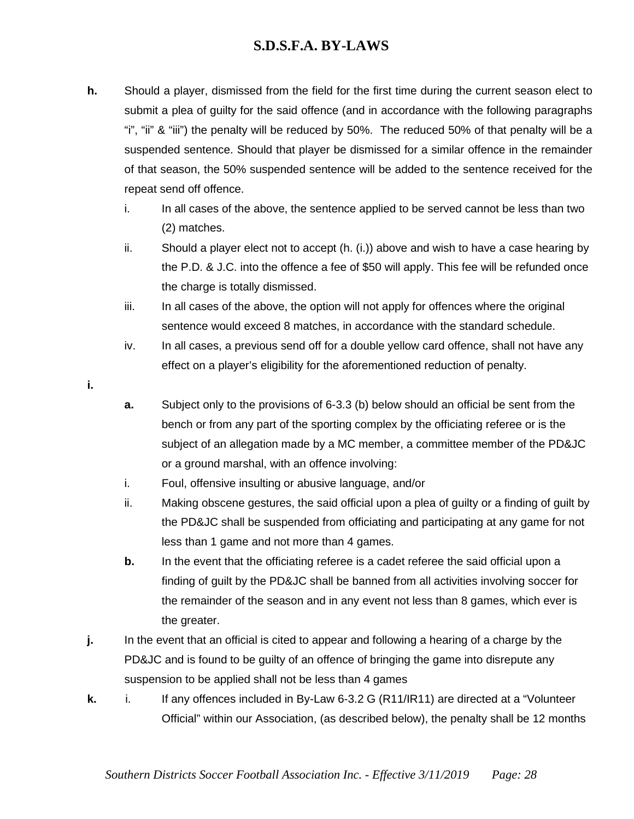- **h.** Should a player, dismissed from the field for the first time during the current season elect to submit a plea of guilty for the said offence (and in accordance with the following paragraphs "i", "ii" & "iii") the penalty will be reduced by 50%. The reduced 50% of that penalty will be a suspended sentence. Should that player be dismissed for a similar offence in the remainder of that season, the 50% suspended sentence will be added to the sentence received for the repeat send off offence.
	- i. In all cases of the above, the sentence applied to be served cannot be less than two (2) matches.
	- ii. Should a player elect not to accept (h. (i.)) above and wish to have a case hearing by the P.D. & J.C. into the offence a fee of \$50 will apply. This fee will be refunded once the charge is totally dismissed.
	- iii. In all cases of the above, the option will not apply for offences where the original sentence would exceed 8 matches, in accordance with the standard schedule.
	- iv. In all cases, a previous send off for a double yellow card offence, shall not have any effect on a player's eligibility for the aforementioned reduction of penalty.
- **i.**
- **a.** Subject only to the provisions of 6-3.3 (b) below should an official be sent from the bench or from any part of the sporting complex by the officiating referee or is the subject of an allegation made by a MC member, a committee member of the PD&JC or a ground marshal, with an offence involving:
- i. Foul, offensive insulting or abusive language, and/or
- ii. Making obscene gestures, the said official upon a plea of guilty or a finding of guilt by the PD&JC shall be suspended from officiating and participating at any game for not less than 1 game and not more than 4 games.
- **b.** In the event that the officiating referee is a cadet referee the said official upon a finding of guilt by the PD&JC shall be banned from all activities involving soccer for the remainder of the season and in any event not less than 8 games, which ever is the greater.
- **j.** In the event that an official is cited to appear and following a hearing of a charge by the PD&JC and is found to be guilty of an offence of bringing the game into disrepute any suspension to be applied shall not be less than 4 games
- **k.** i. If any offences included in By-Law 6-3.2 G (R11/IR11) are directed at a "Volunteer Official" within our Association, (as described below), the penalty shall be 12 months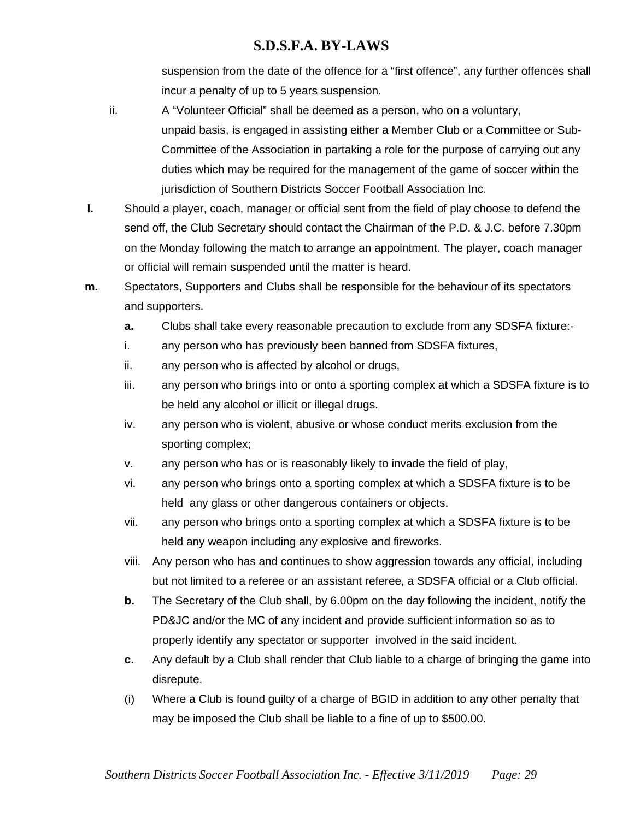suspension from the date of the offence for a "first offence", any further offences shall incur a penalty of up to 5 years suspension.

- ii. A "Volunteer Official" shall be deemed as a person, who on a voluntary, unpaid basis, is engaged in assisting either a Member Club or a Committee or Sub-Committee of the Association in partaking a role for the purpose of carrying out any duties which may be required for the management of the game of soccer within the jurisdiction of Southern Districts Soccer Football Association Inc.
- **l.** Should a player, coach, manager or official sent from the field of play choose to defend the send off, the Club Secretary should contact the Chairman of the P.D. & J.C. before 7.30pm on the Monday following the match to arrange an appointment. The player, coach manager or official will remain suspended until the matter is heard.
- **m.** Spectators, Supporters and Clubs shall be responsible for the behaviour of its spectators and supporters.
	- **a.** Clubs shall take every reasonable precaution to exclude from any SDSFA fixture:-
	- i. any person who has previously been banned from SDSFA fixtures,
	- ii. any person who is affected by alcohol or drugs,
	- iii. any person who brings into or onto a sporting complex at which a SDSFA fixture is to be held any alcohol or illicit or illegal drugs.
	- iv. any person who is violent, abusive or whose conduct merits exclusion from the sporting complex;
	- v. any person who has or is reasonably likely to invade the field of play,
	- vi. any person who brings onto a sporting complex at which a SDSFA fixture is to be held any glass or other dangerous containers or objects.
	- vii. any person who brings onto a sporting complex at which a SDSFA fixture is to be held any weapon including any explosive and fireworks.
	- viii. Any person who has and continues to show aggression towards any official, including but not limited to a referee or an assistant referee, a SDSFA official or a Club official.
	- **b.** The Secretary of the Club shall, by 6.00pm on the day following the incident, notify the PD&JC and/or the MC of any incident and provide sufficient information so as to properly identify any spectator or supporter involved in the said incident.
	- **c.** Any default by a Club shall render that Club liable to a charge of bringing the game into disrepute.
	- (i) Where a Club is found guilty of a charge of BGID in addition to any other penalty that may be imposed the Club shall be liable to a fine of up to \$500.00.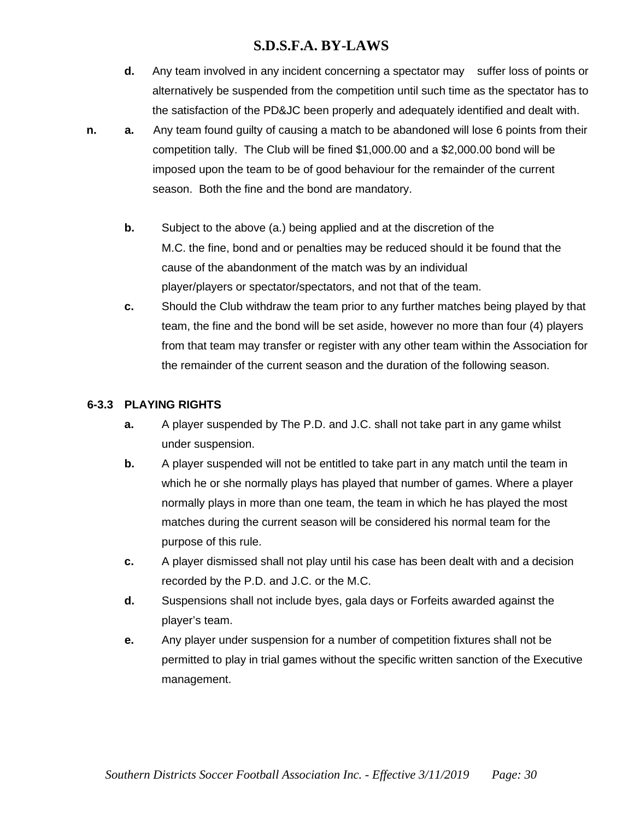- **d.** Any team involved in any incident concerning a spectator may suffer loss of points or alternatively be suspended from the competition until such time as the spectator has to the satisfaction of the PD&JC been properly and adequately identified and dealt with.
- **n. a.** Any team found guilty of causing a match to be abandoned will lose 6 points from their competition tally. The Club will be fined \$1,000.00 and a \$2,000.00 bond will be imposed upon the team to be of good behaviour for the remainder of the current season. Both the fine and the bond are mandatory.
	- **b.** Subject to the above (a.) being applied and at the discretion of the M.C. the fine, bond and or penalties may be reduced should it be found that the cause of the abandonment of the match was by an individual player/players or spectator/spectators, and not that of the team.
	- **c.** Should the Club withdraw the team prior to any further matches being played by that team, the fine and the bond will be set aside, however no more than four (4) players from that team may transfer or register with any other team within the Association for the remainder of the current season and the duration of the following season.

#### **6-3.3 PLAYING RIGHTS**

- **a.** A player suspended by The P.D. and J.C. shall not take part in any game whilst under suspension.
- **b.** A player suspended will not be entitled to take part in any match until the team in which he or she normally plays has played that number of games. Where a player normally plays in more than one team, the team in which he has played the most matches during the current season will be considered his normal team for the purpose of this rule.
- **c.** A player dismissed shall not play until his case has been dealt with and a decision recorded by the P.D. and J.C. or the M.C.
- **d.** Suspensions shall not include byes, gala days or Forfeits awarded against the player's team.
- **e.** Any player under suspension for a number of competition fixtures shall not be permitted to play in trial games without the specific written sanction of the Executive management.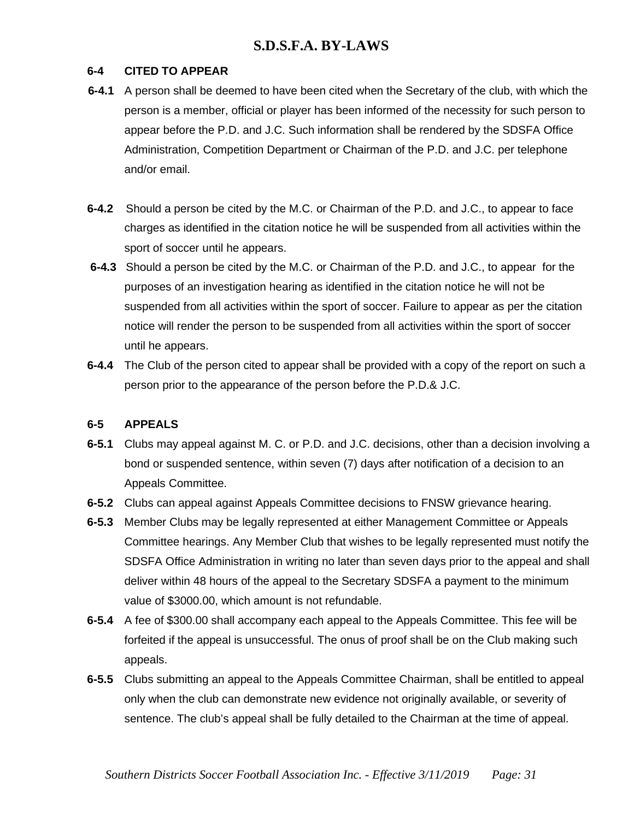#### **6-4 CITED TO APPEAR**

- **6-4.1** A person shall be deemed to have been cited when the Secretary of the club, with which the person is a member, official or player has been informed of the necessity for such person to appear before the P.D. and J.C. Such information shall be rendered by the SDSFA Office Administration, Competition Department or Chairman of the P.D. and J.C. per telephone and/or email.
- **6-4.2** Should a person be cited by the M.C. or Chairman of the P.D. and J.C., to appear to face charges as identified in the citation notice he will be suspended from all activities within the sport of soccer until he appears.
- **6-4.3** Should a person be cited by the M.C. or Chairman of the P.D. and J.C., to appear for the purposes of an investigation hearing as identified in the citation notice he will not be suspended from all activities within the sport of soccer. Failure to appear as per the citation notice will render the person to be suspended from all activities within the sport of soccer until he appears.
- **6-4.4** The Club of the person cited to appear shall be provided with a copy of the report on such a person prior to the appearance of the person before the P.D.& J.C.

#### **6-5 APPEALS**

- **6-5.1** Clubs may appeal against M. C. or P.D. and J.C. decisions, other than a decision involving a bond or suspended sentence, within seven (7) days after notification of a decision to an Appeals Committee.
- **6-5.2** Clubs can appeal against Appeals Committee decisions to FNSW grievance hearing.
- **6-5.3** Member Clubs may be legally represented at either Management Committee or Appeals Committee hearings. Any Member Club that wishes to be legally represented must notify the SDSFA Office Administration in writing no later than seven days prior to the appeal and shall deliver within 48 hours of the appeal to the Secretary SDSFA a payment to the minimum value of \$3000.00, which amount is not refundable.
- **6-5.4** A fee of \$300.00 shall accompany each appeal to the Appeals Committee. This fee will be forfeited if the appeal is unsuccessful. The onus of proof shall be on the Club making such appeals.
- **6-5.5** Clubs submitting an appeal to the Appeals Committee Chairman, shall be entitled to appeal only when the club can demonstrate new evidence not originally available, or severity of sentence. The club's appeal shall be fully detailed to the Chairman at the time of appeal.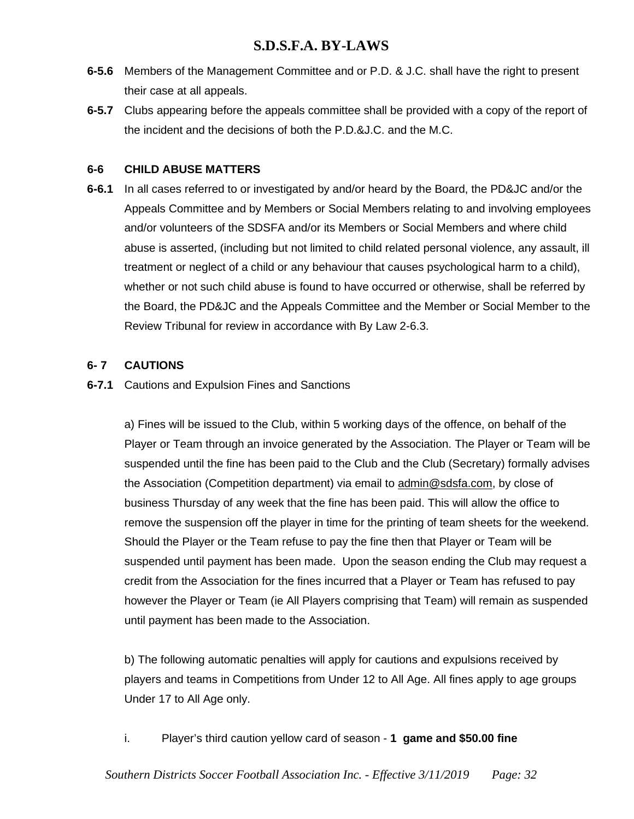- **6-5.6** Members of the Management Committee and or P.D. & J.C. shall have the right to present their case at all appeals.
- **6-5.7** Clubs appearing before the appeals committee shall be provided with a copy of the report of the incident and the decisions of both the P.D.&J.C. and the M.C.

### **6-6 CHILD ABUSE MATTERS**

**6-6.1** In all cases referred to or investigated by and/or heard by the Board, the PD&JC and/or the Appeals Committee and by Members or Social Members relating to and involving employees and/or volunteers of the SDSFA and/or its Members or Social Members and where child abuse is asserted, (including but not limited to child related personal violence, any assault, ill treatment or neglect of a child or any behaviour that causes psychological harm to a child), whether or not such child abuse is found to have occurred or otherwise, shall be referred by the Board, the PD&JC and the Appeals Committee and the Member or Social Member to the Review Tribunal for review in accordance with By Law 2-6.3.

### **6- 7 CAUTIONS**

**6-7.1** Cautions and Expulsion Fines and Sanctions

a) Fines will be issued to the Club, within 5 working days of the offence, on behalf of the Player or Team through an invoice generated by the Association. The Player or Team will be suspended until the fine has been paid to the Club and the Club (Secretary) formally advises the Association (Competition department) via email to [admin@sdsfa.com,](mailto:admin@sdsfa.com) by close of business Thursday of any week that the fine has been paid. This will allow the office to remove the suspension off the player in time for the printing of team sheets for the weekend. Should the Player or the Team refuse to pay the fine then that Player or Team will be suspended until payment has been made. Upon the season ending the Club may request a credit from the Association for the fines incurred that a Player or Team has refused to pay however the Player or Team (ie All Players comprising that Team) will remain as suspended until payment has been made to the Association.

b) The following automatic penalties will apply for cautions and expulsions received by players and teams in Competitions from Under 12 to All Age. All fines apply to age groups Under 17 to All Age only.

i. Player's third caution yellow card of season - **1 game and \$50.00 fine**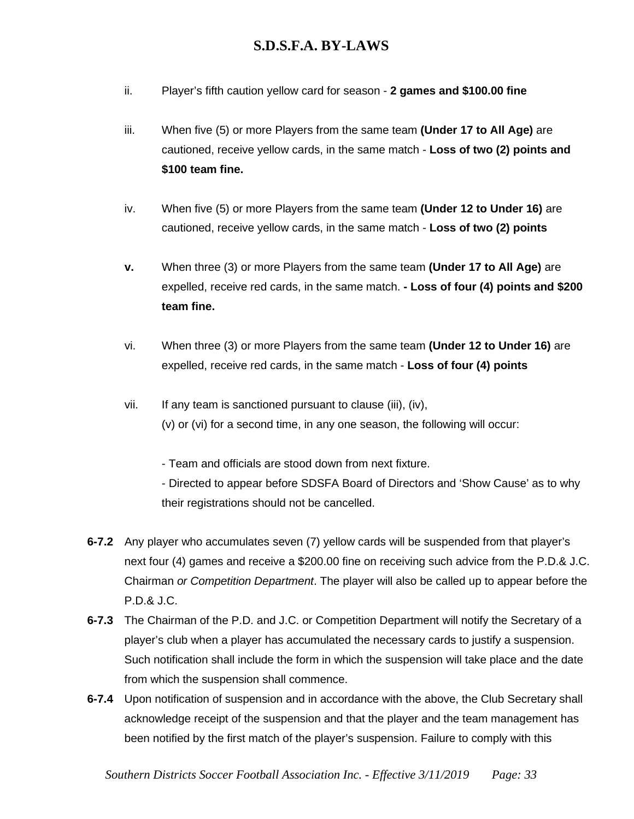- ii. Player's fifth caution yellow card for season **2 games and \$100.00 fine**
- iii. When five (5) or more Players from the same team **(Under 17 to All Age)** are cautioned, receive yellow cards, in the same match - **Loss of two (2) points and \$100 team fine.**
- iv. When five (5) or more Players from the same team **(Under 12 to Under 16)** are cautioned, receive yellow cards, in the same match - **Loss of two (2) points**
- **v.** When three (3) or more Players from the same team **(Under 17 to All Age)** are expelled, receive red cards, in the same match. **- Loss of four (4) points and \$200 team fine.**
- vi. When three (3) or more Players from the same team **(Under 12 to Under 16)** are expelled, receive red cards, in the same match - **Loss of four (4) points**
- vii. If any team is sanctioned pursuant to clause (iii), (iv), (v) or (vi) for a second time, in any one season, the following will occur:

- Team and officials are stood down from next fixture.

- Directed to appear before SDSFA Board of Directors and 'Show Cause' as to why their registrations should not be cancelled.

- **6-7.2** Any player who accumulates seven (7) yellow cards will be suspended from that player's next four (4) games and receive a \$200.00 fine on receiving such advice from the P.D.& J.C. Chairman *or Competition Department*. The player will also be called up to appear before the P.D.& J.C.
- **6-7.3** The Chairman of the P.D. and J.C. or Competition Department will notify the Secretary of a player's club when a player has accumulated the necessary cards to justify a suspension. Such notification shall include the form in which the suspension will take place and the date from which the suspension shall commence.
- **6-7.4** Upon notification of suspension and in accordance with the above, the Club Secretary shall acknowledge receipt of the suspension and that the player and the team management has been notified by the first match of the player's suspension. Failure to comply with this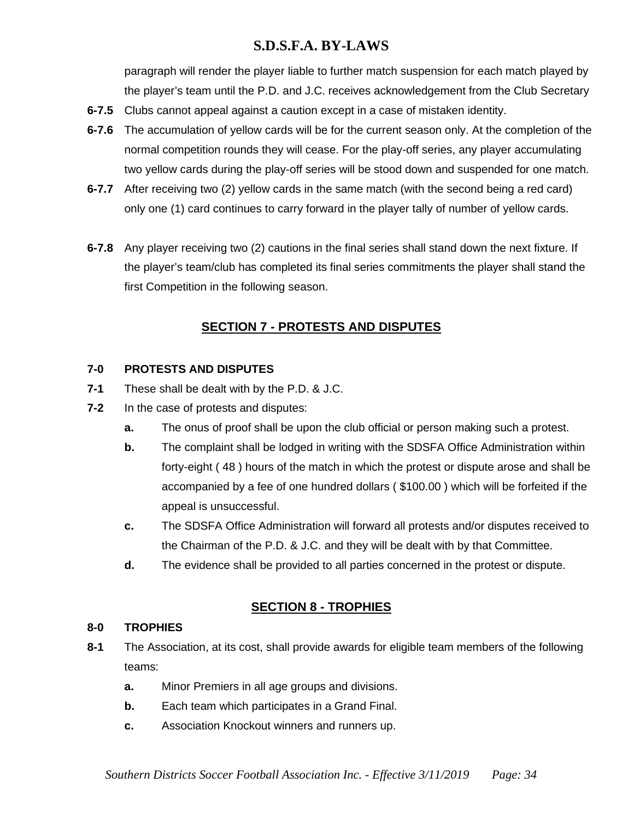paragraph will render the player liable to further match suspension for each match played by the player's team until the P.D. and J.C. receives acknowledgement from the Club Secretary

- **6-7.5** Clubs cannot appeal against a caution except in a case of mistaken identity.
- **6-7.6** The accumulation of yellow cards will be for the current season only. At the completion of the normal competition rounds they will cease. For the play-off series, any player accumulating two yellow cards during the play-off series will be stood down and suspended for one match.
- **6-7.7** After receiving two (2) yellow cards in the same match (with the second being a red card) only one (1) card continues to carry forward in the player tally of number of yellow cards.
- **6-7.8** Any player receiving two (2) cautions in the final series shall stand down the next fixture. If the player's team/club has completed its final series commitments the player shall stand the first Competition in the following season.

# **SECTION 7 - PROTESTS AND DISPUTES**

### **7-0 PROTESTS AND DISPUTES**

- **7-1** These shall be dealt with by the P.D. & J.C.
- **7-2** In the case of protests and disputes:
	- **a.** The onus of proof shall be upon the club official or person making such a protest.
	- **b.** The complaint shall be lodged in writing with the SDSFA Office Administration within forty-eight ( 48 ) hours of the match in which the protest or dispute arose and shall be accompanied by a fee of one hundred dollars ( \$100.00 ) which will be forfeited if the appeal is unsuccessful.
	- **c.** The SDSFA Office Administration will forward all protests and/or disputes received to the Chairman of the P.D. & J.C. and they will be dealt with by that Committee.
	- **d.** The evidence shall be provided to all parties concerned in the protest or dispute.

### **SECTION 8 - TROPHIES**

#### **8-0 TROPHIES**

- **8-1** The Association, at its cost, shall provide awards for eligible team members of the following teams:
	- **a.** Minor Premiers in all age groups and divisions.
	- **b.** Each team which participates in a Grand Final.
	- **c.** Association Knockout winners and runners up.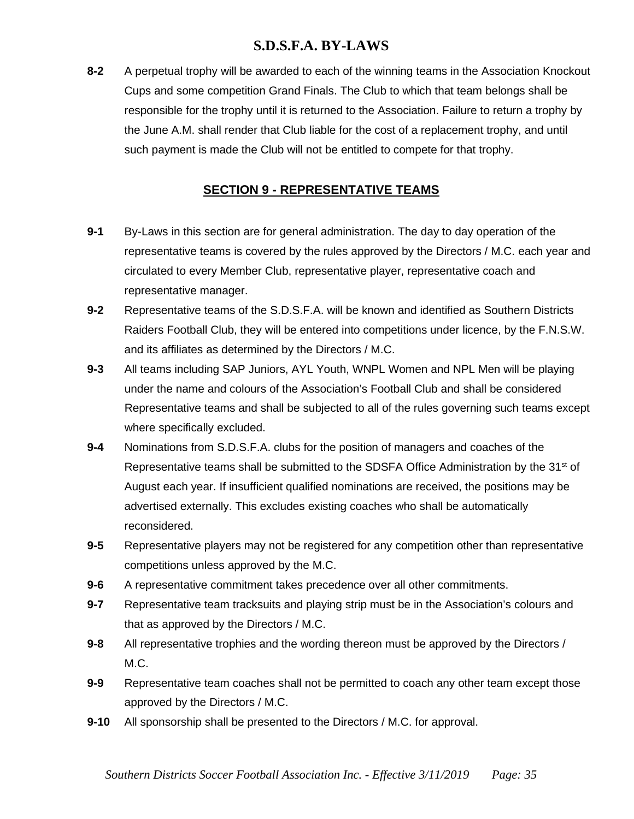**8-2** A perpetual trophy will be awarded to each of the winning teams in the Association Knockout Cups and some competition Grand Finals. The Club to which that team belongs shall be responsible for the trophy until it is returned to the Association. Failure to return a trophy by the June A.M. shall render that Club liable for the cost of a replacement trophy, and until such payment is made the Club will not be entitled to compete for that trophy.

# **SECTION 9 - REPRESENTATIVE TEAMS**

- **9-1** By-Laws in this section are for general administration. The day to day operation of the representative teams is covered by the rules approved by the Directors / M.C. each year and circulated to every Member Club, representative player, representative coach and representative manager.
- **9-2** Representative teams of the S.D.S.F.A. will be known and identified as Southern Districts Raiders Football Club, they will be entered into competitions under licence, by the F.N.S.W. and its affiliates as determined by the Directors / M.C.
- **9-3** All teams including SAP Juniors, AYL Youth, WNPL Women and NPL Men will be playing under the name and colours of the Association's Football Club and shall be considered Representative teams and shall be subjected to all of the rules governing such teams except where specifically excluded.
- **9-4** Nominations from S.D.S.F.A. clubs for the position of managers and coaches of the Representative teams shall be submitted to the SDSFA Office Administration by the 31<sup>st</sup> of August each year. If insufficient qualified nominations are received, the positions may be advertised externally. This excludes existing coaches who shall be automatically reconsidered.
- **9-5** Representative players may not be registered for any competition other than representative competitions unless approved by the M.C.
- **9-6** A representative commitment takes precedence over all other commitments.
- **9-7** Representative team tracksuits and playing strip must be in the Association's colours and that as approved by the Directors / M.C.
- **9-8** All representative trophies and the wording thereon must be approved by the Directors / M.C.
- **9-9** Representative team coaches shall not be permitted to coach any other team except those approved by the Directors / M.C.
- **9-10** All sponsorship shall be presented to the Directors / M.C. for approval.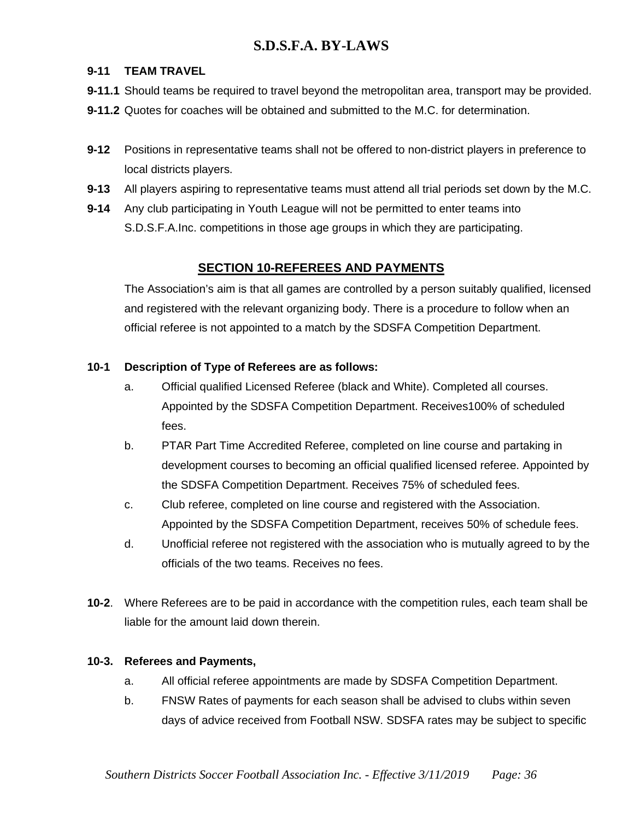### **9-11 TEAM TRAVEL**

**9-11.1** Should teams be required to travel beyond the metropolitan area, transport may be provided.

- **9-11.2** Quotes for coaches will be obtained and submitted to the M.C. for determination.
- **9-12** Positions in representative teams shall not be offered to non-district players in preference to local districts players.
- **9-13** All players aspiring to representative teams must attend all trial periods set down by the M.C.
- **9-14** Any club participating in Youth League will not be permitted to enter teams into S.D.S.F.A.Inc. competitions in those age groups in which they are participating.

# **SECTION 10-REFEREES AND PAYMENTS**

The Association's aim is that all games are controlled by a person suitably qualified, licensed and registered with the relevant organizing body. There is a procedure to follow when an official referee is not appointed to a match by the SDSFA Competition Department.

### **10-1 Description of Type of Referees are as follows:**

- a. Official qualified Licensed Referee (black and White). Completed all courses. Appointed by the SDSFA Competition Department. Receives100% of scheduled fees.
- b. PTAR Part Time Accredited Referee, completed on line course and partaking in development courses to becoming an official qualified licensed referee. Appointed by the SDSFA Competition Department. Receives 75% of scheduled fees.
- c. Club referee, completed on line course and registered with the Association. Appointed by the SDSFA Competition Department, receives 50% of schedule fees.
- d. Unofficial referee not registered with the association who is mutually agreed to by the officials of the two teams. Receives no fees.
- **10-2**. Where Referees are to be paid in accordance with the competition rules, each team shall be liable for the amount laid down therein.

### **10-3. Referees and Payments,**

- a. All official referee appointments are made by SDSFA Competition Department.
- b. FNSW Rates of payments for each season shall be advised to clubs within seven days of advice received from Football NSW. SDSFA rates may be subject to specific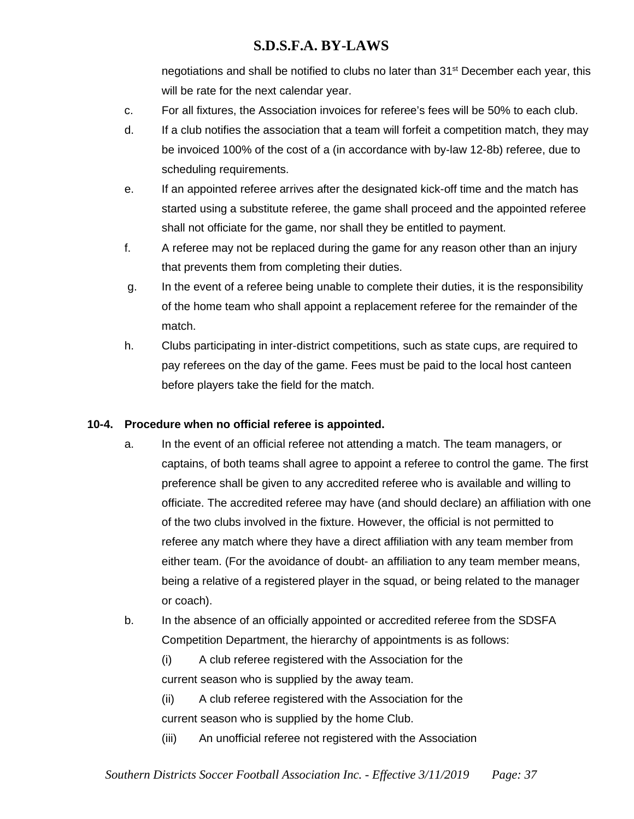negotiations and shall be notified to clubs no later than 31<sup>st</sup> December each year, this will be rate for the next calendar year.

- c. For all fixtures, the Association invoices for referee's fees will be 50% to each club.
- d. If a club notifies the association that a team will forfeit a competition match, they may be invoiced 100% of the cost of a (in accordance with by-law 12-8b) referee, due to scheduling requirements.
- e. If an appointed referee arrives after the designated kick-off time and the match has started using a substitute referee, the game shall proceed and the appointed referee shall not officiate for the game, nor shall they be entitled to payment.
- f. A referee may not be replaced during the game for any reason other than an injury that prevents them from completing their duties.
- g. In the event of a referee being unable to complete their duties, it is the responsibility of the home team who shall appoint a replacement referee for the remainder of the match.
- h. Clubs participating in inter-district competitions, such as state cups, are required to pay referees on the day of the game. Fees must be paid to the local host canteen before players take the field for the match.

# **10-4. Procedure when no official referee is appointed.**

- a. In the event of an official referee not attending a match. The team managers, or captains, of both teams shall agree to appoint a referee to control the game. The first preference shall be given to any accredited referee who is available and willing to officiate. The accredited referee may have (and should declare) an affiliation with one of the two clubs involved in the fixture. However, the official is not permitted to referee any match where they have a direct affiliation with any team member from either team. (For the avoidance of doubt- an affiliation to any team member means, being a relative of a registered player in the squad, or being related to the manager or coach).
- b. In the absence of an officially appointed or accredited referee from the SDSFA Competition Department, the hierarchy of appointments is as follows:
	- (i) A club referee registered with the Association for the current season who is supplied by the away team.

(ii) A club referee registered with the Association for the current season who is supplied by the home Club.

(iii) An unofficial referee not registered with the Association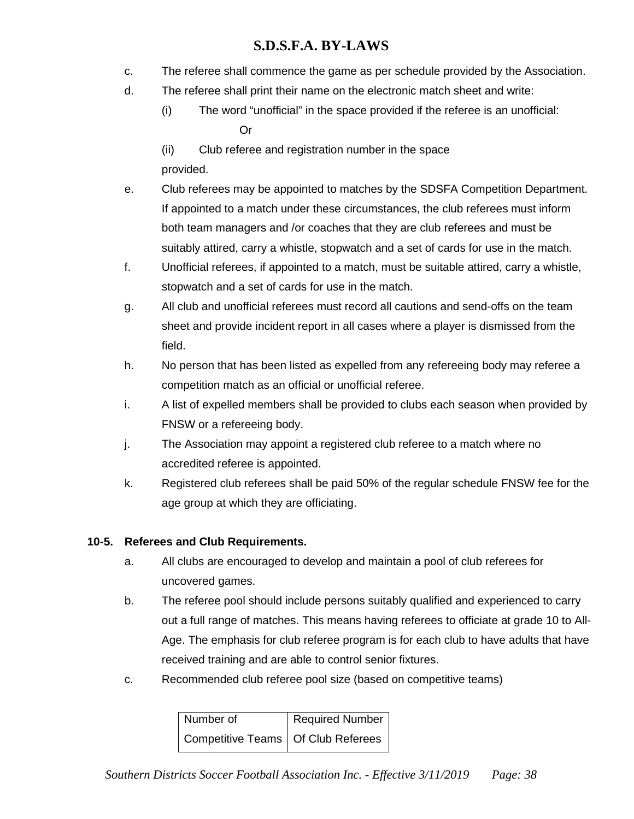- c. The referee shall commence the game as per schedule provided by the Association.
- d. The referee shall print their name on the electronic match sheet and write:
	- (i) The word "unofficial" in the space provided if the referee is an unofficial: Or
	- (ii) Club referee and registration number in the space provided.
- e. Club referees may be appointed to matches by the SDSFA Competition Department. If appointed to a match under these circumstances, the club referees must inform both team managers and /or coaches that they are club referees and must be suitably attired, carry a whistle, stopwatch and a set of cards for use in the match.
- f. Unofficial referees, if appointed to a match, must be suitable attired, carry a whistle, stopwatch and a set of cards for use in the match.
- g. All club and unofficial referees must record all cautions and send-offs on the team sheet and provide incident report in all cases where a player is dismissed from the field.
- h. No person that has been listed as expelled from any refereeing body may referee a competition match as an official or unofficial referee.
- i. A list of expelled members shall be provided to clubs each season when provided by FNSW or a refereeing body.
- j. The Association may appoint a registered club referee to a match where no accredited referee is appointed.
- k. Registered club referees shall be paid 50% of the regular schedule FNSW fee for the age group at which they are officiating.

# **10-5. Referees and Club Requirements.**

- a. All clubs are encouraged to develop and maintain a pool of club referees for uncovered games.
- b. The referee pool should include persons suitably qualified and experienced to carry out a full range of matches. This means having referees to officiate at grade 10 to All-Age. The emphasis for club referee program is for each club to have adults that have received training and are able to control senior fixtures.
- c. Recommended club referee pool size (based on competitive teams)

| Number of                            | Required Number |
|--------------------------------------|-----------------|
| Competitive Teams   Of Club Referees |                 |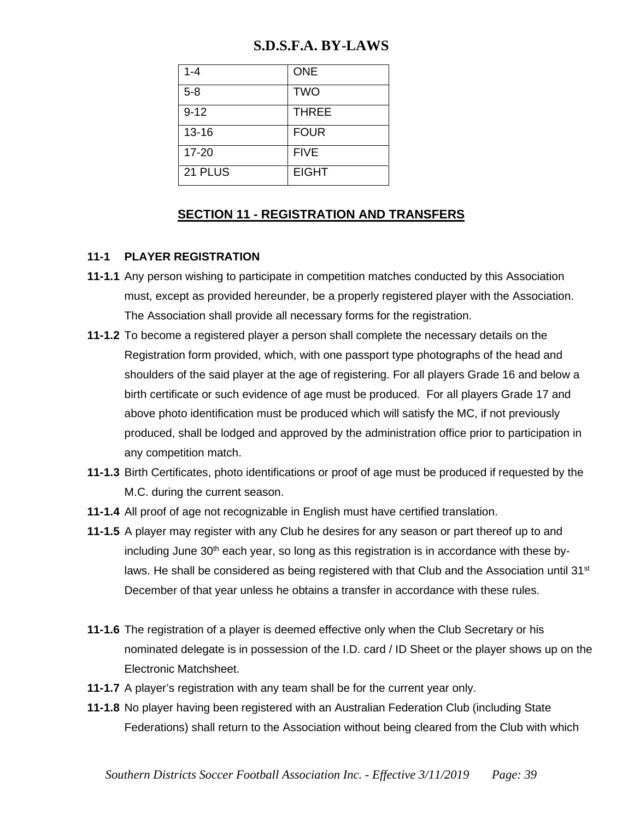| $1 - 4$   | <b>ONE</b>   |
|-----------|--------------|
| $5 - 8$   | <b>TWO</b>   |
| $9 - 12$  | <b>THREE</b> |
| $13 - 16$ | <b>FOUR</b>  |
| $17 - 20$ | <b>FIVE</b>  |
| 21 PLUS   | <b>EIGHT</b> |

### **SECTION 11 - REGISTRATION AND TRANSFERS**

### **11-1 PLAYER REGISTRATION**

- **11-1.1** Any person wishing to participate in competition matches conducted by this Association must, except as provided hereunder, be a properly registered player with the Association. The Association shall provide all necessary forms for the registration.
- **11-1.2** To become a registered player a person shall complete the necessary details on the Registration form provided, which, with one passport type photographs of the head and shoulders of the said player at the age of registering. For all players Grade 16 and below a birth certificate or such evidence of age must be produced. For all players Grade 17 and above photo identification must be produced which will satisfy the MC, if not previously produced, shall be lodged and approved by the administration office prior to participation in any competition match.
- **11-1.3** Birth Certificates, photo identifications or proof of age must be produced if requested by the M.C. during the current season.
- **11-1.4** All proof of age not recognizable in English must have certified translation.
- **11-1.5** A player may register with any Club he desires for any season or part thereof up to and including June  $30<sup>th</sup>$  each year, so long as this registration is in accordance with these bylaws. He shall be considered as being registered with that Club and the Association until 31 $\mathrm{^{st}}$ December of that year unless he obtains a transfer in accordance with these rules.
- **11-1.6** The registration of a player is deemed effective only when the Club Secretary or his nominated delegate is in possession of the I.D. card / ID Sheet or the player shows up on the Electronic Matchsheet.
- **11-1.7** A player's registration with any team shall be for the current year only.
- **11-1.8** No player having been registered with an Australian Federation Club (including State Federations) shall return to the Association without being cleared from the Club with which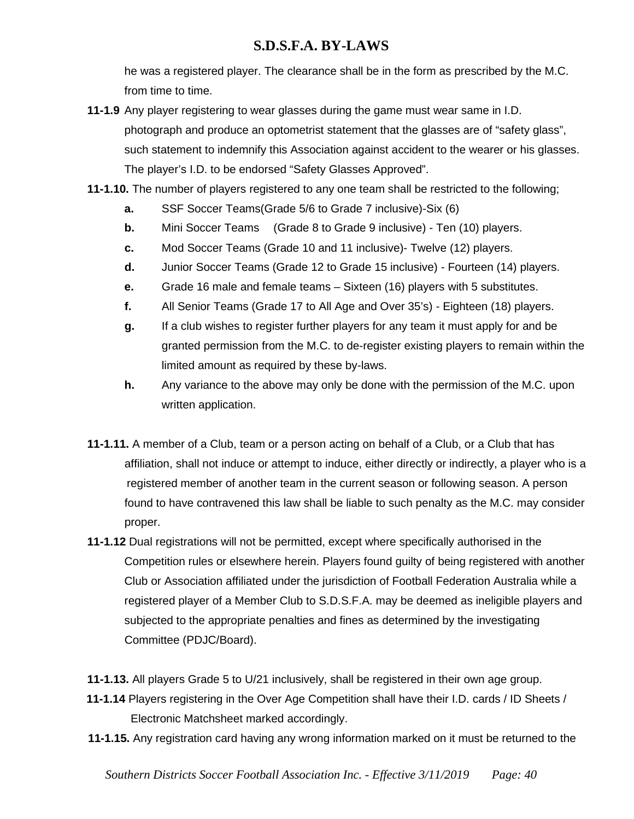he was a registered player. The clearance shall be in the form as prescribed by the M.C. from time to time.

- **11-1.9** Any player registering to wear glasses during the game must wear same in I.D. photograph and produce an optometrist statement that the glasses are of "safety glass", such statement to indemnify this Association against accident to the wearer or his glasses. The player's I.D. to be endorsed "Safety Glasses Approved".
- **11-1.10.** The number of players registered to any one team shall be restricted to the following;
	- **a.** SSF Soccer Teams(Grade 5/6 to Grade 7 inclusive)-Six (6)
	- **b.** Mini Soccer Teams (Grade 8 to Grade 9 inclusive) Ten (10) players.
	- **c.** Mod Soccer Teams (Grade 10 and 11 inclusive)- Twelve (12) players.
	- **d.** Junior Soccer Teams (Grade 12 to Grade 15 inclusive) Fourteen (14) players.
	- **e.** Grade 16 male and female teams Sixteen (16) players with 5 substitutes.
	- **f.** All Senior Teams (Grade 17 to All Age and Over 35's) Eighteen (18) players.
	- **g.** If a club wishes to register further players for any team it must apply for and be granted permission from the M.C. to de-register existing players to remain within the limited amount as required by these by-laws.
	- **h.** Any variance to the above may only be done with the permission of the M.C. upon written application.
- **11-1.11.** A member of a Club, team or a person acting on behalf of a Club, or a Club that has affiliation, shall not induce or attempt to induce, either directly or indirectly, a player who is a registered member of another team in the current season or following season. A person found to have contravened this law shall be liable to such penalty as the M.C. may consider proper.
- **11-1.12** Dual registrations will not be permitted, except where specifically authorised in the Competition rules or elsewhere herein. Players found guilty of being registered with another Club or Association affiliated under the jurisdiction of Football Federation Australia while a registered player of a Member Club to S.D.S.F.A. may be deemed as ineligible players and subjected to the appropriate penalties and fines as determined by the investigating Committee (PDJC/Board).
- **11-1.13.** All players Grade 5 to U/21 inclusively, shall be registered in their own age group.
- **11-1.14** Players registering in the Over Age Competition shall have their I.D. cards / ID Sheets / Electronic Matchsheet marked accordingly.
- **11-1.15.** Any registration card having any wrong information marked on it must be returned to the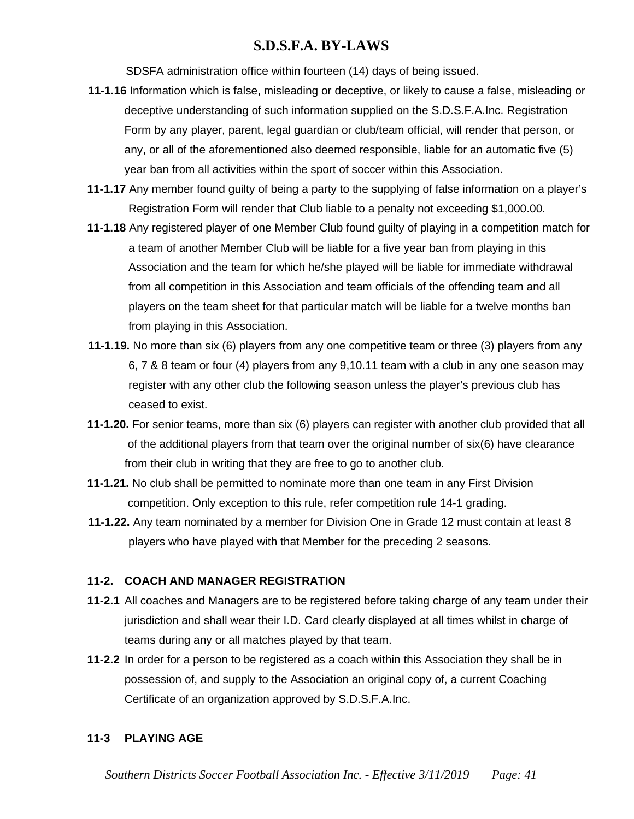SDSFA administration office within fourteen (14) days of being issued.

- **11-1.16** Information which is false, misleading or deceptive, or likely to cause a false, misleading or deceptive understanding of such information supplied on the S.D.S.F.A.Inc. Registration Form by any player, parent, legal guardian or club/team official, will render that person, or any, or all of the aforementioned also deemed responsible, liable for an automatic five (5) year ban from all activities within the sport of soccer within this Association.
- **11-1.17** Any member found guilty of being a party to the supplying of false information on a player's Registration Form will render that Club liable to a penalty not exceeding \$1,000.00.
- **11-1.18** Any registered player of one Member Club found guilty of playing in a competition match for a team of another Member Club will be liable for a five year ban from playing in this Association and the team for which he/she played will be liable for immediate withdrawal from all competition in this Association and team officials of the offending team and all players on the team sheet for that particular match will be liable for a twelve months ban from playing in this Association.
- **11-1.19.** No more than six (6) players from any one competitive team or three (3) players from any 6, 7 & 8 team or four (4) players from any 9,10.11 team with a club in any one season may register with any other club the following season unless the player's previous club has ceased to exist.
- **11-1.20.** For senior teams, more than six (6) players can register with another club provided that all of the additional players from that team over the original number of six(6) have clearance from their club in writing that they are free to go to another club.
- **11-1.21.** No club shall be permitted to nominate more than one team in any First Division competition. Only exception to this rule, refer competition rule 14-1 grading.
- **11-1.22.** Any team nominated by a member for Division One in Grade 12 must contain at least 8 players who have played with that Member for the preceding 2 seasons.

#### **11-2. COACH AND MANAGER REGISTRATION**

- **11-2.1** All coaches and Managers are to be registered before taking charge of any team under their jurisdiction and shall wear their I.D. Card clearly displayed at all times whilst in charge of teams during any or all matches played by that team.
- **11-2.2** In order for a person to be registered as a coach within this Association they shall be in possession of, and supply to the Association an original copy of, a current Coaching Certificate of an organization approved by S.D.S.F.A.Inc.

#### **11-3 PLAYING AGE**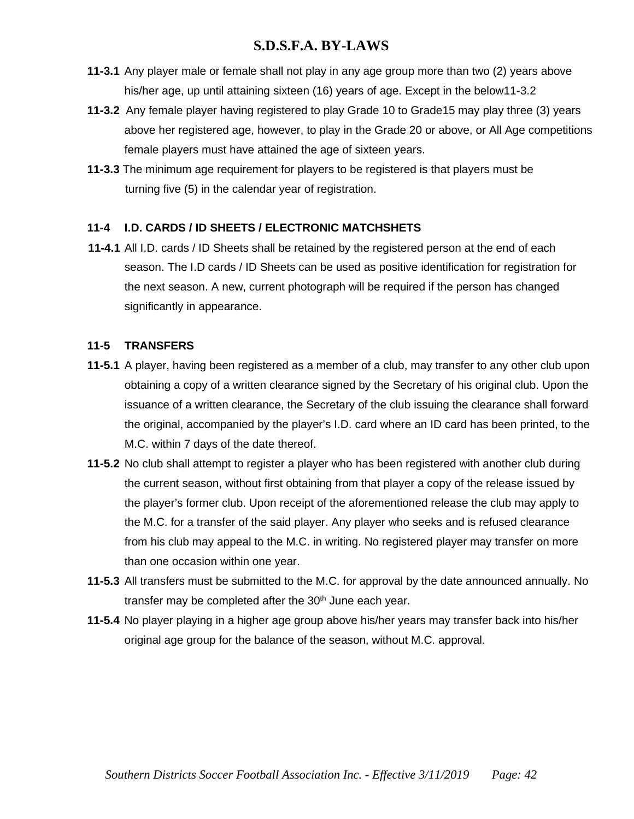- **11-3.1** Any player male or female shall not play in any age group more than two (2) years above his/her age, up until attaining sixteen (16) years of age. Except in the below11-3.2
- **11-3.2** Any female player having registered to play Grade 10 to Grade15 may play three (3) years above her registered age, however, to play in the Grade 20 or above, or All Age competitions female players must have attained the age of sixteen years.
- **11-3.3** The minimum age requirement for players to be registered is that players must be turning five (5) in the calendar year of registration.

### **11-4 I.D. CARDS / ID SHEETS / ELECTRONIC MATCHSHETS**

 **11-4.1** All I.D. cards / ID Sheets shall be retained by the registered person at the end of each season. The I.D cards / ID Sheets can be used as positive identification for registration for the next season. A new, current photograph will be required if the person has changed significantly in appearance.

#### **11-5 TRANSFERS**

- **11-5.1** A player, having been registered as a member of a club, may transfer to any other club upon obtaining a copy of a written clearance signed by the Secretary of his original club. Upon the issuance of a written clearance, the Secretary of the club issuing the clearance shall forward the original, accompanied by the player's I.D. card where an ID card has been printed, to the M.C. within 7 days of the date thereof.
- **11-5.2** No club shall attempt to register a player who has been registered with another club during the current season, without first obtaining from that player a copy of the release issued by the player's former club. Upon receipt of the aforementioned release the club may apply to the M.C. for a transfer of the said player. Any player who seeks and is refused clearance from his club may appeal to the M.C. in writing. No registered player may transfer on more than one occasion within one year.
- **11-5.3** All transfers must be submitted to the M.C. for approval by the date announced annually. No transfer may be completed after the  $30<sup>th</sup>$  June each year.
- **11-5.4** No player playing in a higher age group above his/her years may transfer back into his/her original age group for the balance of the season, without M.C. approval.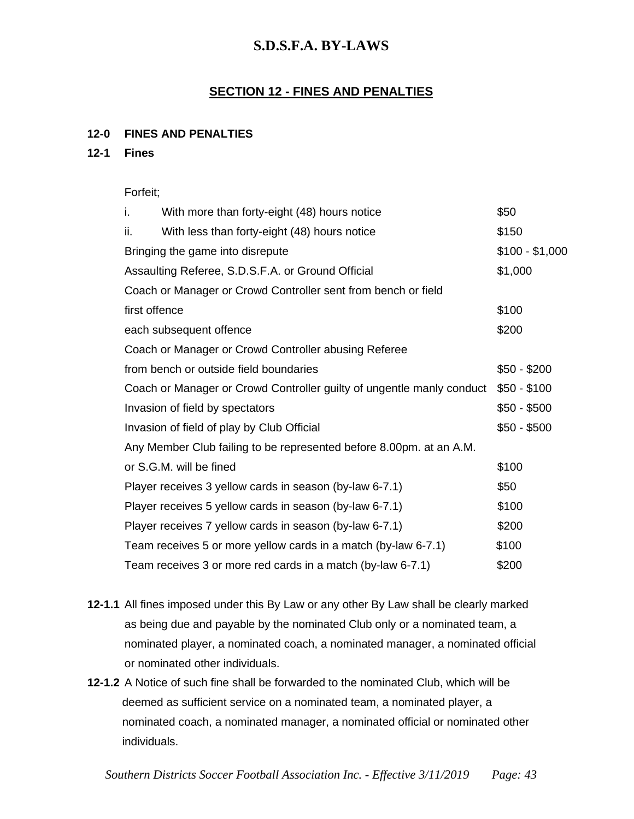### **SECTION 12 - FINES AND PENALTIES**

#### **12-0 FINES AND PENALTIES**

#### **12-1 Fines**

#### Forfeit;

| \$50            |
|-----------------|
| \$150           |
| $$100 - $1,000$ |
| \$1,000         |
|                 |
| \$100           |
| \$200           |
|                 |
| $$50 - $200$    |
| $$50 - $100$    |
| $$50 - $500$    |
| $$50 - $500$    |
|                 |
| \$100           |
| \$50            |
| \$100           |
| \$200           |
| \$100           |
| \$200           |
|                 |

- **12-1.1** All fines imposed under this By Law or any other By Law shall be clearly marked as being due and payable by the nominated Club only or a nominated team, a nominated player, a nominated coach, a nominated manager, a nominated official or nominated other individuals.
- **12-1.2** A Notice of such fine shall be forwarded to the nominated Club, which will be deemed as sufficient service on a nominated team, a nominated player, a nominated coach, a nominated manager, a nominated official or nominated other individuals.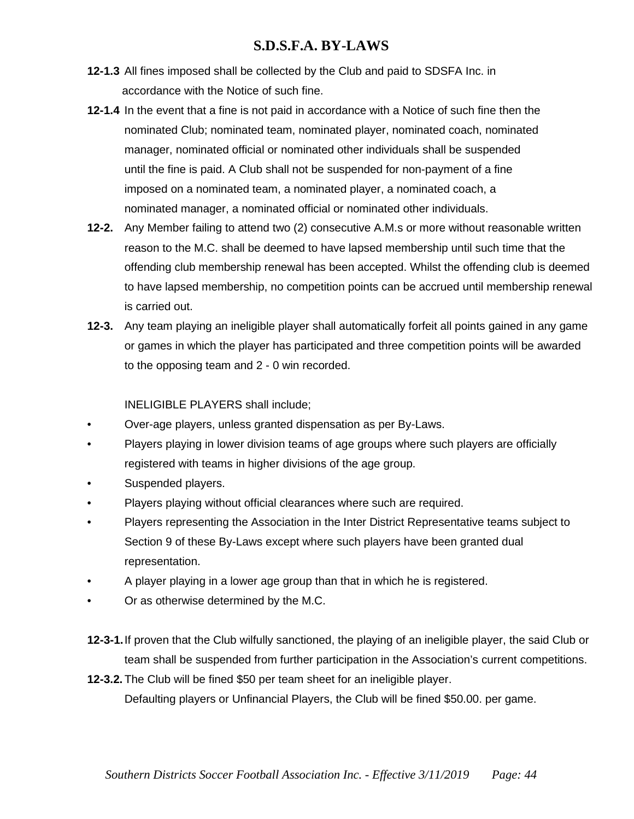- **12-1.3** All fines imposed shall be collected by the Club and paid to SDSFA Inc. in accordance with the Notice of such fine.
- **12-1.4** In the event that a fine is not paid in accordance with a Notice of such fine then the nominated Club; nominated team, nominated player, nominated coach, nominated manager, nominated official or nominated other individuals shall be suspended until the fine is paid. A Club shall not be suspended for non-payment of a fine imposed on a nominated team, a nominated player, a nominated coach, a nominated manager, a nominated official or nominated other individuals.
- **12-2.** Any Member failing to attend two (2) consecutive A.M.s or more without reasonable written reason to the M.C. shall be deemed to have lapsed membership until such time that the offending club membership renewal has been accepted. Whilst the offending club is deemed to have lapsed membership, no competition points can be accrued until membership renewal is carried out.
- **12-3.** Any team playing an ineligible player shall automatically forfeit all points gained in any game or games in which the player has participated and three competition points will be awarded to the opposing team and 2 - 0 win recorded.

INELIGIBLE PLAYERS shall include;

- Over-age players, unless granted dispensation as per By-Laws.
- Players playing in lower division teams of age groups where such players are officially registered with teams in higher divisions of the age group.
- Suspended players.
- Players playing without official clearances where such are required.
- Players representing the Association in the Inter District Representative teams subject to Section 9 of these By-Laws except where such players have been granted dual representation.
- A player playing in a lower age group than that in which he is registered.
- Or as otherwise determined by the M.C.
- **12-3-1.**If proven that the Club wilfully sanctioned, the playing of an ineligible player, the said Club or team shall be suspended from further participation in the Association's current competitions.

**12-3.2.** The Club will be fined \$50 per team sheet for an ineligible player. Defaulting players or Unfinancial Players, the Club will be fined \$50.00. per game.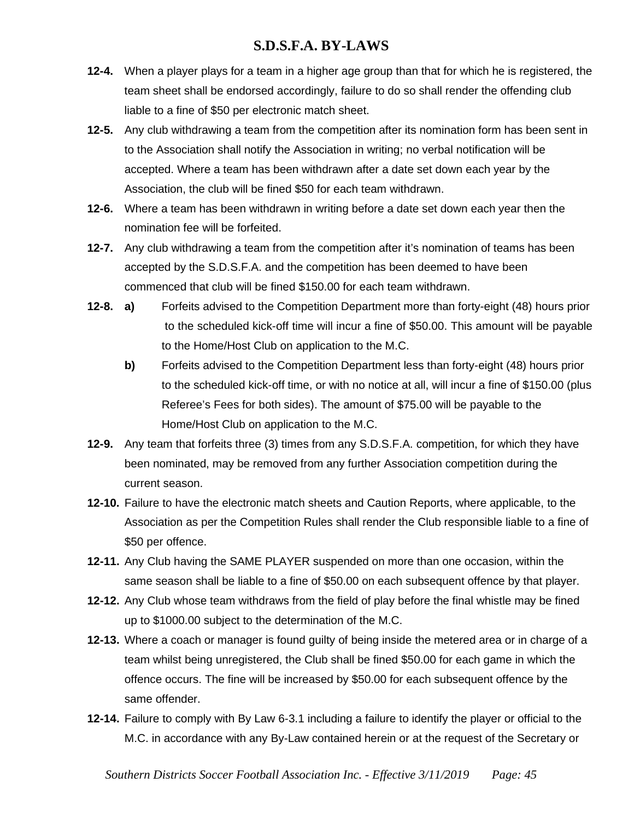- **12-4.** When a player plays for a team in a higher age group than that for which he is registered, the team sheet shall be endorsed accordingly, failure to do so shall render the offending club liable to a fine of \$50 per electronic match sheet.
- **12-5.** Any club withdrawing a team from the competition after its nomination form has been sent in to the Association shall notify the Association in writing; no verbal notification will be accepted. Where a team has been withdrawn after a date set down each year by the Association, the club will be fined \$50 for each team withdrawn.
- **12-6.** Where a team has been withdrawn in writing before a date set down each year then the nomination fee will be forfeited.
- **12-7.** Any club withdrawing a team from the competition after it's nomination of teams has been accepted by the S.D.S.F.A. and the competition has been deemed to have been commenced that club will be fined \$150.00 for each team withdrawn.
- **12-8. a)** Forfeits advised to the Competition Department more than forty-eight (48) hours prior to the scheduled kick-off time will incur a fine of \$50.00. This amount will be payable to the Home/Host Club on application to the M.C.
	- **b)** Forfeits advised to the Competition Department less than forty-eight (48) hours prior to the scheduled kick-off time, or with no notice at all, will incur a fine of \$150.00 (plus Referee's Fees for both sides). The amount of \$75.00 will be payable to the Home/Host Club on application to the M.C.
- **12-9.** Any team that forfeits three (3) times from any S.D.S.F.A. competition, for which they have been nominated, may be removed from any further Association competition during the current season.
- **12-10.** Failure to have the electronic match sheets and Caution Reports, where applicable, to the Association as per the Competition Rules shall render the Club responsible liable to a fine of \$50 per offence.
- **12-11.** Any Club having the SAME PLAYER suspended on more than one occasion, within the same season shall be liable to a fine of \$50.00 on each subsequent offence by that player.
- **12-12.** Any Club whose team withdraws from the field of play before the final whistle may be fined up to \$1000.00 subject to the determination of the M.C.
- **12-13.** Where a coach or manager is found guilty of being inside the metered area or in charge of a team whilst being unregistered, the Club shall be fined \$50.00 for each game in which the offence occurs. The fine will be increased by \$50.00 for each subsequent offence by the same offender.
- **12-14.** Failure to comply with By Law 6-3.1 including a failure to identify the player or official to the M.C. in accordance with any By-Law contained herein or at the request of the Secretary or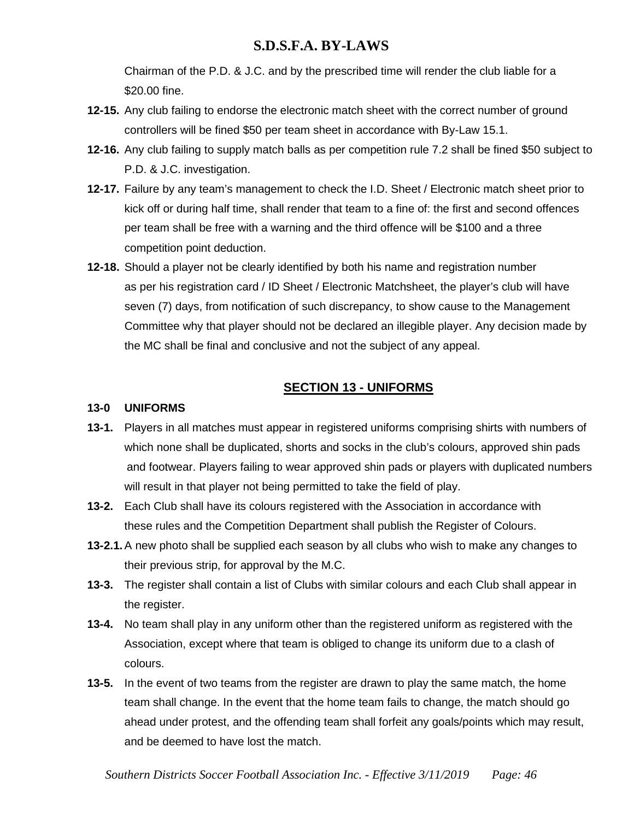Chairman of the P.D. & J.C. and by the prescribed time will render the club liable for a \$20.00 fine.

- **12-15.** Any club failing to endorse the electronic match sheet with the correct number of ground controllers will be fined \$50 per team sheet in accordance with By-Law 15.1.
- **12-16.** Any club failing to supply match balls as per competition rule 7.2 shall be fined \$50 subject to P.D. & J.C. investigation.
- **12-17.** Failure by any team's management to check the I.D. Sheet / Electronic match sheet prior to kick off or during half time, shall render that team to a fine of: the first and second offences per team shall be free with a warning and the third offence will be \$100 and a three competition point deduction.
- **12-18.** Should a player not be clearly identified by both his name and registration number as per his registration card / ID Sheet / Electronic Matchsheet, the player's club will have seven (7) days, from notification of such discrepancy, to show cause to the Management Committee why that player should not be declared an illegible player. Any decision made by the MC shall be final and conclusive and not the subject of any appeal.

# **SECTION 13 - UNIFORMS**

### **13-0 UNIFORMS**

- **13-1.** Players in all matches must appear in registered uniforms comprising shirts with numbers of which none shall be duplicated, shorts and socks in the club's colours, approved shin pads and footwear. Players failing to wear approved shin pads or players with duplicated numbers will result in that player not being permitted to take the field of play.
- **13-2.** Each Club shall have its colours registered with the Association in accordance with these rules and the Competition Department shall publish the Register of Colours.
- **13-2.1.**A new photo shall be supplied each season by all clubs who wish to make any changes to their previous strip, for approval by the M.C.
- **13-3.** The register shall contain a list of Clubs with similar colours and each Club shall appear in the register.
- **13-4.** No team shall play in any uniform other than the registered uniform as registered with the Association, except where that team is obliged to change its uniform due to a clash of colours.
- **13-5.** In the event of two teams from the register are drawn to play the same match, the home team shall change. In the event that the home team fails to change, the match should go ahead under protest, and the offending team shall forfeit any goals/points which may result, and be deemed to have lost the match.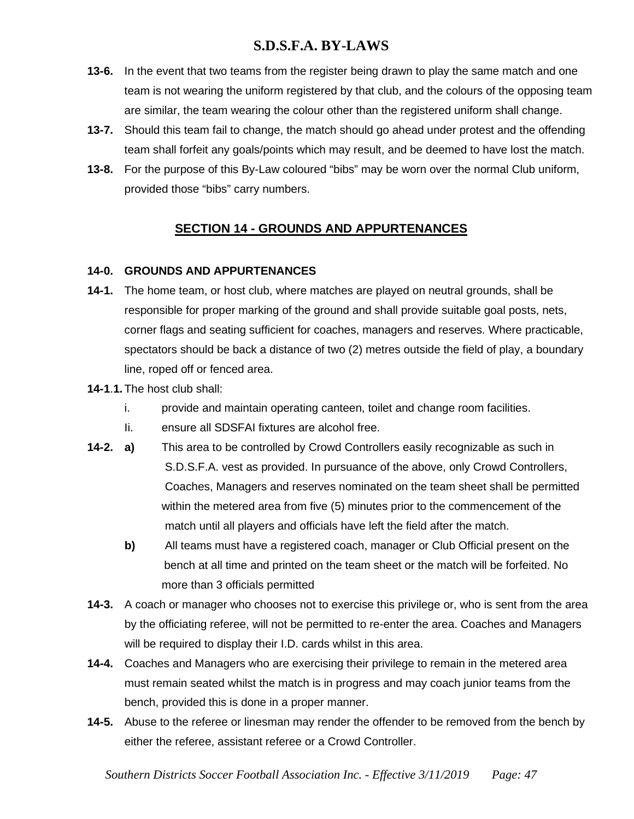- **13-6.** In the event that two teams from the register being drawn to play the same match and one team is not wearing the uniform registered by that club, and the colours of the opposing team are similar, the team wearing the colour other than the registered uniform shall change.
- **13-7.** Should this team fail to change, the match should go ahead under protest and the offending team shall forfeit any goals/points which may result, and be deemed to have lost the match.
- **13-8.** For the purpose of this By-Law coloured "bibs" may be worn over the normal Club uniform, provided those "bibs" carry numbers.

# **SECTION 14 - GROUNDS AND APPURTENANCES**

### **14-0. GROUNDS AND APPURTENANCES**

- **14-1.** The home team, or host club, where matches are played on neutral grounds, shall be responsible for proper marking of the ground and shall provide suitable goal posts, nets, corner flags and seating sufficient for coaches, managers and reserves. Where practicable, spectators should be back a distance of two (2) metres outside the field of play, a boundary line, roped off or fenced area.
- **14-1**.**1.** The host club shall:
	- i. provide and maintain operating canteen, toilet and change room facilities.
	- Ii. ensure all SDSFAI fixtures are alcohol free.
- **14-2. a)** This area to be controlled by Crowd Controllers easily recognizable as such in S.D.S.F.A. vest as provided. In pursuance of the above, only Crowd Controllers, Coaches, Managers and reserves nominated on the team sheet shall be permitted within the metered area from five (5) minutes prior to the commencement of the match until all players and officials have left the field after the match.
	- **b)** All teams must have a registered coach, manager or Club Official present on the bench at all time and printed on the team sheet or the match will be forfeited. No more than 3 officials permitted
- **14-3.** A coach or manager who chooses not to exercise this privilege or, who is sent from the area by the officiating referee, will not be permitted to re-enter the area. Coaches and Managers will be required to display their I.D. cards whilst in this area.
- **14-4.** Coaches and Managers who are exercising their privilege to remain in the metered area must remain seated whilst the match is in progress and may coach junior teams from the bench, provided this is done in a proper manner.
- **14-5.** Abuse to the referee or linesman may render the offender to be removed from the bench by either the referee, assistant referee or a Crowd Controller.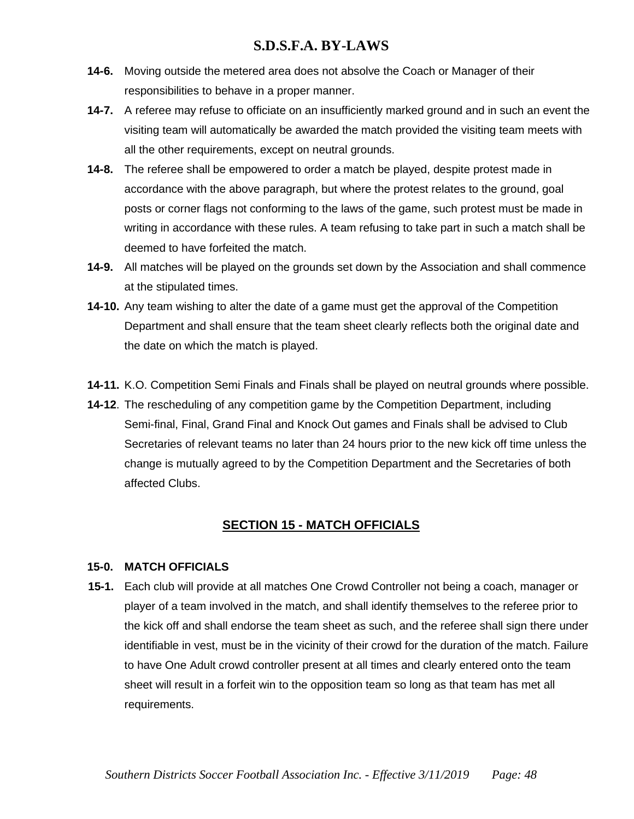- **14-6.** Moving outside the metered area does not absolve the Coach or Manager of their responsibilities to behave in a proper manner.
- **14-7.** A referee may refuse to officiate on an insufficiently marked ground and in such an event the visiting team will automatically be awarded the match provided the visiting team meets with all the other requirements, except on neutral grounds.
- **14-8.** The referee shall be empowered to order a match be played, despite protest made in accordance with the above paragraph, but where the protest relates to the ground, goal posts or corner flags not conforming to the laws of the game, such protest must be made in writing in accordance with these rules. A team refusing to take part in such a match shall be deemed to have forfeited the match.
- **14-9.** All matches will be played on the grounds set down by the Association and shall commence at the stipulated times.
- **14-10.** Any team wishing to alter the date of a game must get the approval of the Competition Department and shall ensure that the team sheet clearly reflects both the original date and the date on which the match is played.
- **14-11.** K.O. Competition Semi Finals and Finals shall be played on neutral grounds where possible.
- **14-12**. The rescheduling of any competition game by the Competition Department, including Semi-final, Final, Grand Final and Knock Out games and Finals shall be advised to Club Secretaries of relevant teams no later than 24 hours prior to the new kick off time unless the change is mutually agreed to by the Competition Department and the Secretaries of both affected Clubs.

# **SECTION 15 - MATCH OFFICIALS**

#### **15-0. MATCH OFFICIALS**

 **15-1.** Each club will provide at all matches One Crowd Controller not being a coach, manager or player of a team involved in the match, and shall identify themselves to the referee prior to the kick off and shall endorse the team sheet as such, and the referee shall sign there under identifiable in vest, must be in the vicinity of their crowd for the duration of the match. Failure to have One Adult crowd controller present at all times and clearly entered onto the team sheet will result in a forfeit win to the opposition team so long as that team has met all requirements.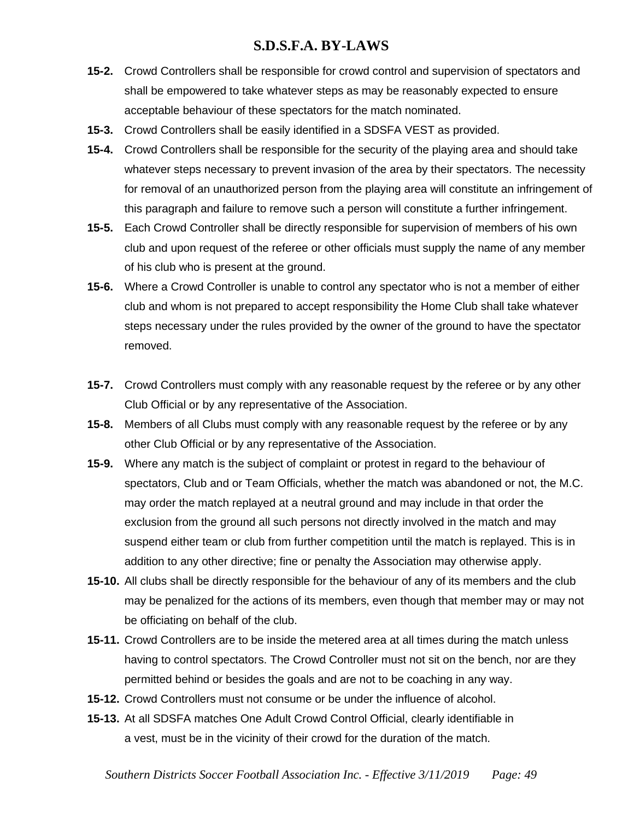- **15-2.** Crowd Controllers shall be responsible for crowd control and supervision of spectators and shall be empowered to take whatever steps as may be reasonably expected to ensure acceptable behaviour of these spectators for the match nominated.
- **15-3.** Crowd Controllers shall be easily identified in a SDSFA VEST as provided.
- **15-4.** Crowd Controllers shall be responsible for the security of the playing area and should take whatever steps necessary to prevent invasion of the area by their spectators. The necessity for removal of an unauthorized person from the playing area will constitute an infringement of this paragraph and failure to remove such a person will constitute a further infringement.
- **15-5.** Each Crowd Controller shall be directly responsible for supervision of members of his own club and upon request of the referee or other officials must supply the name of any member of his club who is present at the ground.
- **15-6.** Where a Crowd Controller is unable to control any spectator who is not a member of either club and whom is not prepared to accept responsibility the Home Club shall take whatever steps necessary under the rules provided by the owner of the ground to have the spectator removed.
- **15-7.** Crowd Controllers must comply with any reasonable request by the referee or by any other Club Official or by any representative of the Association.
- **15-8.** Members of all Clubs must comply with any reasonable request by the referee or by any other Club Official or by any representative of the Association.
- **15-9.** Where any match is the subject of complaint or protest in regard to the behaviour of spectators, Club and or Team Officials, whether the match was abandoned or not, the M.C. may order the match replayed at a neutral ground and may include in that order the exclusion from the ground all such persons not directly involved in the match and may suspend either team or club from further competition until the match is replayed. This is in addition to any other directive; fine or penalty the Association may otherwise apply.
- **15-10.** All clubs shall be directly responsible for the behaviour of any of its members and the club may be penalized for the actions of its members, even though that member may or may not be officiating on behalf of the club.
- **15-11.** Crowd Controllers are to be inside the metered area at all times during the match unless having to control spectators. The Crowd Controller must not sit on the bench, nor are they permitted behind or besides the goals and are not to be coaching in any way.
- **15-12.** Crowd Controllers must not consume or be under the influence of alcohol.
- **15-13.** At all SDSFA matches One Adult Crowd Control Official, clearly identifiable in a vest, must be in the vicinity of their crowd for the duration of the match.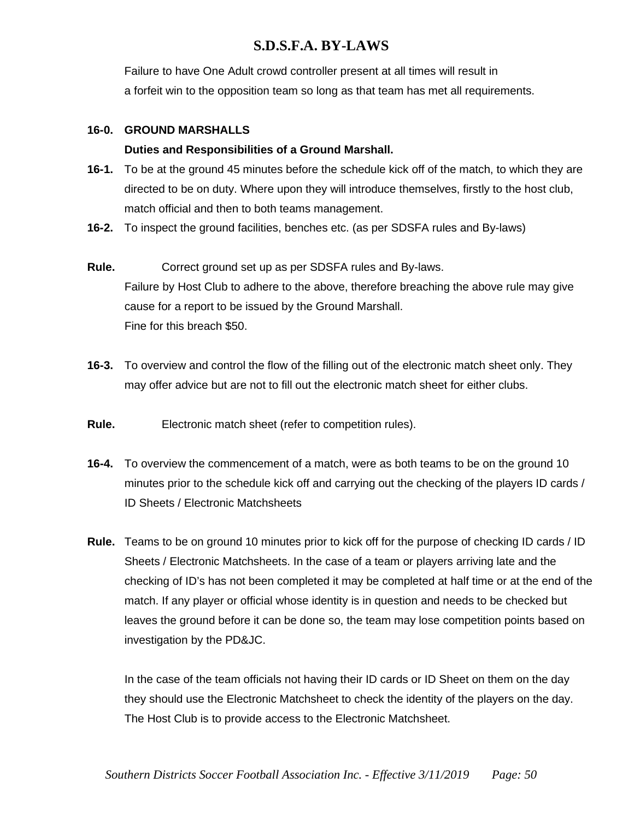Failure to have One Adult crowd controller present at all times will result in a forfeit win to the opposition team so long as that team has met all requirements.

#### **16-0. GROUND MARSHALLS**

#### **Duties and Responsibilities of a Ground Marshall.**

- **16-1.** To be at the ground 45 minutes before the schedule kick off of the match, to which they are directed to be on duty. Where upon they will introduce themselves, firstly to the host club, match official and then to both teams management.
- **16-2.** To inspect the ground facilities, benches etc. (as per SDSFA rules and By-laws)
- **Rule.** Correct ground set up as per SDSFA rules and By-laws. Failure by Host Club to adhere to the above, therefore breaching the above rule may give cause for a report to be issued by the Ground Marshall. Fine for this breach \$50.
- **16-3.** To overview and control the flow of the filling out of the electronic match sheet only. They may offer advice but are not to fill out the electronic match sheet for either clubs.
- **Rule.** Electronic match sheet (refer to competition rules).
- **16-4.** To overview the commencement of a match, were as both teams to be on the ground 10 minutes prior to the schedule kick off and carrying out the checking of the players ID cards / ID Sheets / Electronic Matchsheets
- **Rule.** Teams to be on ground 10 minutes prior to kick off for the purpose of checking ID cards / ID Sheets / Electronic Matchsheets. In the case of a team or players arriving late and the checking of ID's has not been completed it may be completed at half time or at the end of the match. If any player or official whose identity is in question and needs to be checked but leaves the ground before it can be done so, the team may lose competition points based on investigation by the PD&JC.

In the case of the team officials not having their ID cards or ID Sheet on them on the day they should use the Electronic Matchsheet to check the identity of the players on the day. The Host Club is to provide access to the Electronic Matchsheet.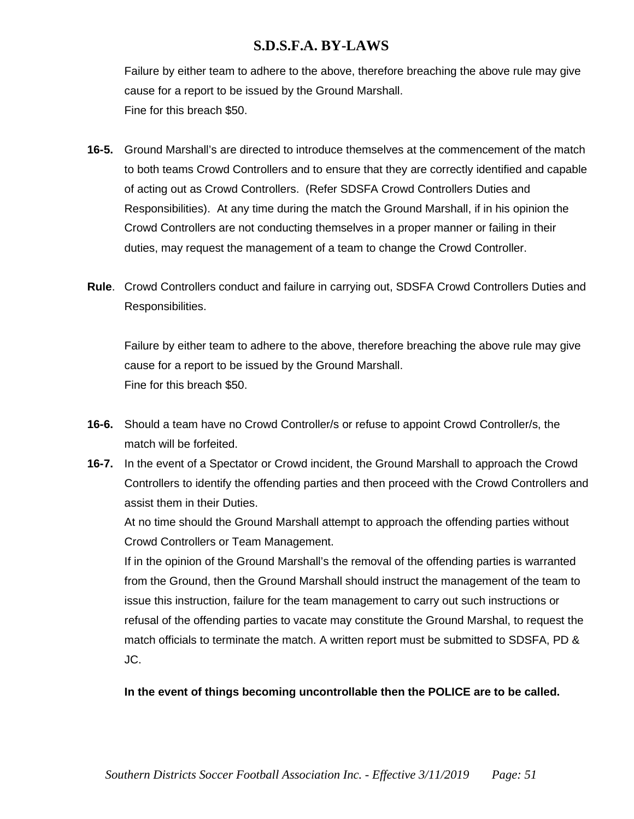Failure by either team to adhere to the above, therefore breaching the above rule may give cause for a report to be issued by the Ground Marshall. Fine for this breach \$50.

- **16-5.** Ground Marshall's are directed to introduce themselves at the commencement of the match to both teams Crowd Controllers and to ensure that they are correctly identified and capable of acting out as Crowd Controllers. (Refer SDSFA Crowd Controllers Duties and Responsibilities). At any time during the match the Ground Marshall, if in his opinion the Crowd Controllers are not conducting themselves in a proper manner or failing in their duties, may request the management of a team to change the Crowd Controller.
- **Rule**. Crowd Controllers conduct and failure in carrying out, SDSFA Crowd Controllers Duties and Responsibilities.

Failure by either team to adhere to the above, therefore breaching the above rule may give cause for a report to be issued by the Ground Marshall. Fine for this breach \$50.

- **16-6.** Should a team have no Crowd Controller/s or refuse to appoint Crowd Controller/s, the match will be forfeited.
- **16-7.** In the event of a Spectator or Crowd incident, the Ground Marshall to approach the Crowd Controllers to identify the offending parties and then proceed with the Crowd Controllers and assist them in their Duties.

At no time should the Ground Marshall attempt to approach the offending parties without Crowd Controllers or Team Management.

If in the opinion of the Ground Marshall's the removal of the offending parties is warranted from the Ground, then the Ground Marshall should instruct the management of the team to issue this instruction, failure for the team management to carry out such instructions or refusal of the offending parties to vacate may constitute the Ground Marshal, to request the match officials to terminate the match. A written report must be submitted to SDSFA, PD & JC.

### **In the event of things becoming uncontrollable then the POLICE are to be called.**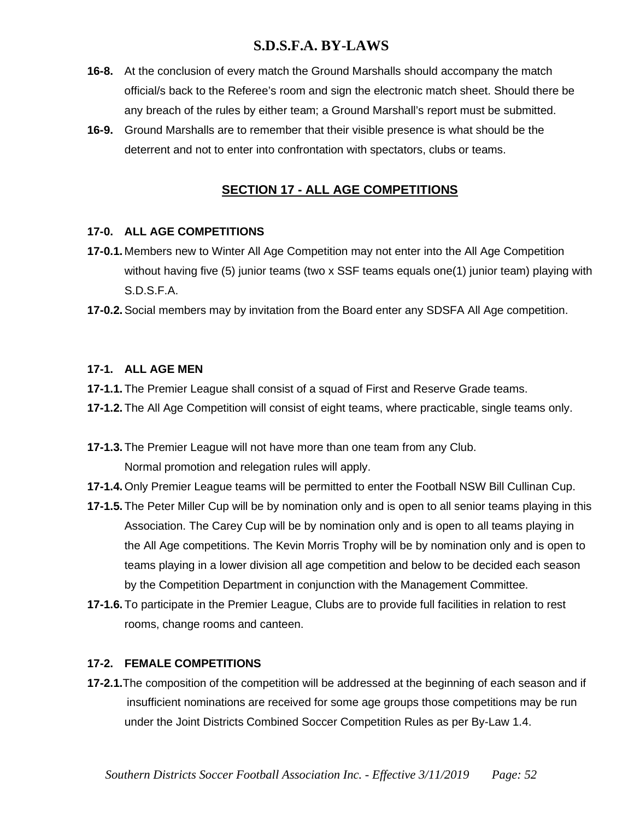- **16-8.** At the conclusion of every match the Ground Marshalls should accompany the match official/s back to the Referee's room and sign the electronic match sheet. Should there be any breach of the rules by either team; a Ground Marshall's report must be submitted.
- **16-9.** Ground Marshalls are to remember that their visible presence is what should be the deterrent and not to enter into confrontation with spectators, clubs or teams.

# **SECTION 17 - ALL AGE COMPETITIONS**

### **17-0. ALL AGE COMPETITIONS**

- **17-0.1.** Members new to Winter All Age Competition may not enter into the All Age Competition without having five (5) junior teams (two x SSF teams equals one(1) junior team) playing with S.D.S.F.A.
- **17-0.2.**Social members may by invitation from the Board enter any SDSFA All Age competition.

#### **17-1. ALL AGE MEN**

- **17-1.1.** The Premier League shall consist of a squad of First and Reserve Grade teams.
- **17-1.2.** The All Age Competition will consist of eight teams, where practicable, single teams only.
- **17-1.3.** The Premier League will not have more than one team from any Club. Normal promotion and relegation rules will apply.
- **17-1.4.** Only Premier League teams will be permitted to enter the Football NSW Bill Cullinan Cup.
- **17-1.5.** The Peter Miller Cup will be by nomination only and is open to all senior teams playing in this Association. The Carey Cup will be by nomination only and is open to all teams playing in the All Age competitions. The Kevin Morris Trophy will be by nomination only and is open to teams playing in a lower division all age competition and below to be decided each season by the Competition Department in conjunction with the Management Committee.
- **17-1.6.** To participate in the Premier League, Clubs are to provide full facilities in relation to rest rooms, change rooms and canteen.

#### **17-2. FEMALE COMPETITIONS**

**17-2.1.**The composition of the competition will be addressed at the beginning of each season and if insufficient nominations are received for some age groups those competitions may be run under the Joint Districts Combined Soccer Competition Rules as per By-Law 1.4.